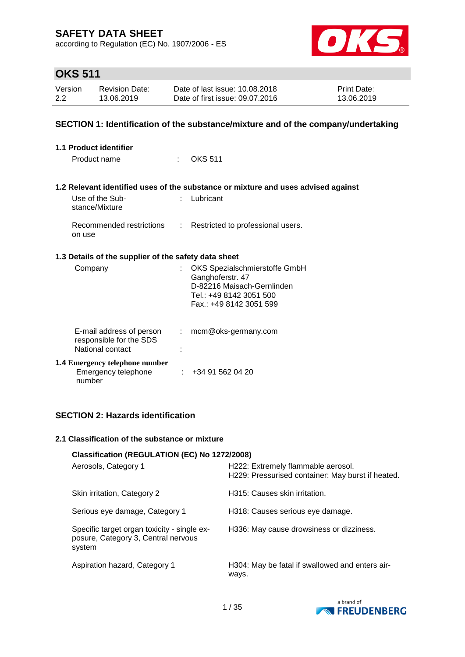according to Regulation (EC) No. 1907/2006 - ES



# **OKS 511**

| Version | <b>Revision Date:</b> | Date of last issue: 10.08.2018  | <b>Print Date:</b> |
|---------|-----------------------|---------------------------------|--------------------|
| 2.2     | 13.06.2019            | Date of first issue: 09.07.2016 | 13.06.2019         |

## **SECTION 1: Identification of the substance/mixture and of the company/undertaking**

| 1.1 Product identifier                                                  |      |                                                                                                                                       |
|-------------------------------------------------------------------------|------|---------------------------------------------------------------------------------------------------------------------------------------|
| Product name                                                            | t in | <b>OKS 511</b>                                                                                                                        |
|                                                                         |      |                                                                                                                                       |
|                                                                         |      | 1.2 Relevant identified uses of the substance or mixture and uses advised against                                                     |
| Use of the Sub-<br>stance/Mixture                                       |      | $:$ Lubricant                                                                                                                         |
| on use                                                                  |      | Recommended restrictions : Restricted to professional users.                                                                          |
| 1.3 Details of the supplier of the safety data sheet                    |      |                                                                                                                                       |
| Company                                                                 | t.   | OKS Spezialschmierstoffe GmbH<br>Ganghoferstr. 47<br>D-82216 Maisach-Gernlinden<br>Tel.: +49 8142 3051 500<br>Fax.: +49 8142 3051 599 |
| E-mail address of person<br>responsible for the SDS<br>National contact |      | $:$ mcm@oks-germany.com                                                                                                               |
| <b>1.4 Emergency telephone number</b><br>Emergency telephone<br>number  |      | : 434915620420                                                                                                                        |

## **SECTION 2: Hazards identification**

### **2.1 Classification of the substance or mixture**

| Classification (REGULATION (EC) No 1272/2008)                                                |                                                                                         |
|----------------------------------------------------------------------------------------------|-----------------------------------------------------------------------------------------|
| Aerosols, Category 1                                                                         | H222: Extremely flammable aerosol.<br>H229: Pressurised container: May burst if heated. |
| Skin irritation, Category 2                                                                  | H315: Causes skin irritation.                                                           |
| Serious eye damage, Category 1                                                               | H318: Causes serious eye damage.                                                        |
| Specific target organ toxicity - single ex-<br>posure, Category 3, Central nervous<br>system | H336: May cause drowsiness or dizziness.                                                |
| Aspiration hazard, Category 1                                                                | H304: May be fatal if swallowed and enters air-<br>ways.                                |

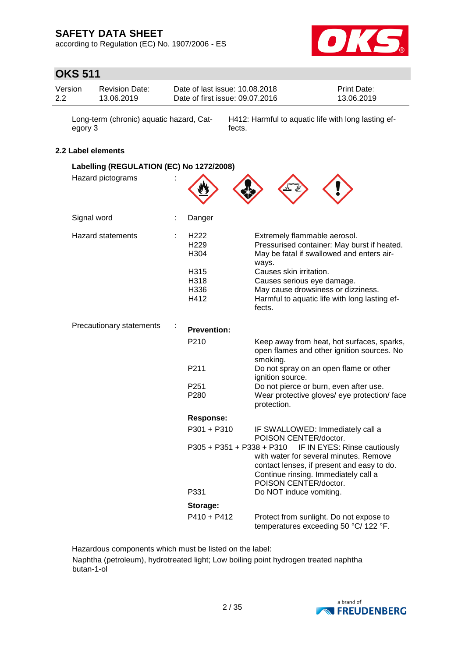according to Regulation (EC) No. 1907/2006 - ES



# **OKS 511**

| Version | <b>Revision Date:</b> | Date of last issue: 10.08.2018  | <b>Print Date:</b> |
|---------|-----------------------|---------------------------------|--------------------|
| 2.2     | 13.06.2019            | Date of first issue: 09.07.2016 | 13.06.2019         |

Long-term (chronic) aquatic hazard, Category 3

H412: Harmful to aquatic life with long lasting effects.

## **2.2 Label elements**

| Labelling (REGULATION (EC) No 1272/2008) |                                  |                                                                                                                                                                                       |  |
|------------------------------------------|----------------------------------|---------------------------------------------------------------------------------------------------------------------------------------------------------------------------------------|--|
| Hazard pictograms                        |                                  |                                                                                                                                                                                       |  |
| Signal word                              | Danger                           |                                                                                                                                                                                       |  |
| <b>Hazard statements</b>                 | H222<br>H <sub>229</sub><br>H304 | Extremely flammable aerosol.<br>Pressurised container: May burst if heated.<br>May be fatal if swallowed and enters air-<br>ways.                                                     |  |
|                                          | H315<br>H318<br>H336<br>H412     | Causes skin irritation.<br>Causes serious eye damage.<br>May cause drowsiness or dizziness.<br>Harmful to aquatic life with long lasting ef-<br>fects.                                |  |
| Precautionary statements                 | <b>Prevention:</b>               |                                                                                                                                                                                       |  |
|                                          | P210                             | Keep away from heat, hot surfaces, sparks,<br>open flames and other ignition sources. No<br>smoking.                                                                                  |  |
|                                          | P211                             | Do not spray on an open flame or other<br>ignition source.                                                                                                                            |  |
|                                          | P251<br>P280                     | Do not pierce or burn, even after use.<br>Wear protective gloves/ eye protection/ face<br>protection.                                                                                 |  |
|                                          | <b>Response:</b>                 |                                                                                                                                                                                       |  |
|                                          | P301 + P310                      | IF SWALLOWED: Immediately call a<br>POISON CENTER/doctor.                                                                                                                             |  |
|                                          | P305 + P351 + P338 + P310        | IF IN EYES: Rinse cautiously<br>with water for several minutes. Remove<br>contact lenses, if present and easy to do.<br>Continue rinsing. Immediately call a<br>POISON CENTER/doctor. |  |
|                                          | P331                             | Do NOT induce vomiting.                                                                                                                                                               |  |
|                                          | Storage:                         |                                                                                                                                                                                       |  |
|                                          | $P410 + P412$                    | Protect from sunlight. Do not expose to<br>temperatures exceeding 50 °C/ 122 °F.                                                                                                      |  |

Hazardous components which must be listed on the label:

Naphtha (petroleum), hydrotreated light; Low boiling point hydrogen treated naphtha butan-1-ol

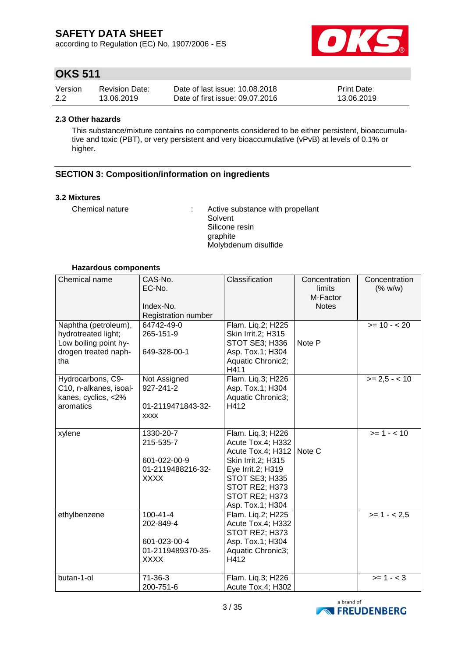according to Regulation (EC) No. 1907/2006 - ES



# **OKS 511**

| Version | <b>Revision Date:</b> | Date of last issue: 10.08.2018  | <b>Print Date:</b> |
|---------|-----------------------|---------------------------------|--------------------|
| 2.2     | 13.06.2019            | Date of first issue: 09.07.2016 | 13.06.2019         |

### **2.3 Other hazards**

This substance/mixture contains no components considered to be either persistent, bioaccumulative and toxic (PBT), or very persistent and very bioaccumulative (vPvB) at levels of 0.1% or higher.

## **SECTION 3: Composition/information on ingredients**

### **3.2 Mixtures**

Chemical nature : Active substance with propellant Solvent Silicone resin graphite Molybdenum disulfide

### **Hazardous components**

| Chemical name                                                                                       | CAS-No.<br>EC-No.<br>Index-No.<br>Registration number                           | Classification                                                                                                                                                                   | Concentration<br>limits<br>M-Factor<br><b>Notes</b> | Concentration<br>(% w/w) |
|-----------------------------------------------------------------------------------------------------|---------------------------------------------------------------------------------|----------------------------------------------------------------------------------------------------------------------------------------------------------------------------------|-----------------------------------------------------|--------------------------|
| Naphtha (petroleum),<br>hydrotreated light;<br>Low boiling point hy-<br>drogen treated naph-<br>tha | 64742-49-0<br>265-151-9<br>649-328-00-1                                         | Flam. Lig.2; H225<br>Skin Irrit.2; H315<br><b>STOT SE3; H336</b><br>Asp. Tox.1; H304<br>Aquatic Chronic2;<br>H411                                                                | Note P                                              | $>= 10 - 20$             |
| Hydrocarbons, C9-<br>C10, n-alkanes, isoal-<br>kanes, cyclics, <2%<br>aromatics                     | Not Assigned<br>927-241-2<br>01-2119471843-32-<br><b>XXXX</b>                   | Flam. Liq.3; H226<br>Asp. Tox.1; H304<br>Aquatic Chronic3;<br>H412                                                                                                               |                                                     | $>= 2.5 - 10$            |
| xylene                                                                                              | 1330-20-7<br>215-535-7<br>601-022-00-9<br>01-2119488216-32-<br><b>XXXX</b>      | Flam. Liq.3; H226<br>Acute Tox.4; H332<br>Acute Tox.4; H312<br>Skin Irrit.2; H315<br>Eye Irrit.2; H319<br>STOT SE3; H335<br>STOT RE2; H373<br>STOT RE2; H373<br>Asp. Tox.1; H304 | Note C                                              | $>= 1 - 10$              |
| ethylbenzene                                                                                        | $100 - 41 - 4$<br>202-849-4<br>601-023-00-4<br>01-2119489370-35-<br><b>XXXX</b> | Flam. Liq.2; H225<br>Acute Tox.4; H332<br>STOT RE2; H373<br>Asp. Tox.1; H304<br>Aquatic Chronic3;<br>H412                                                                        |                                                     | $>= 1 - 2.5$             |
| butan-1-ol                                                                                          | $71-36-3$<br>200-751-6                                                          | Flam. Liq.3; H226<br>Acute Tox.4; H302                                                                                                                                           |                                                     | $>= 1 - 3$               |

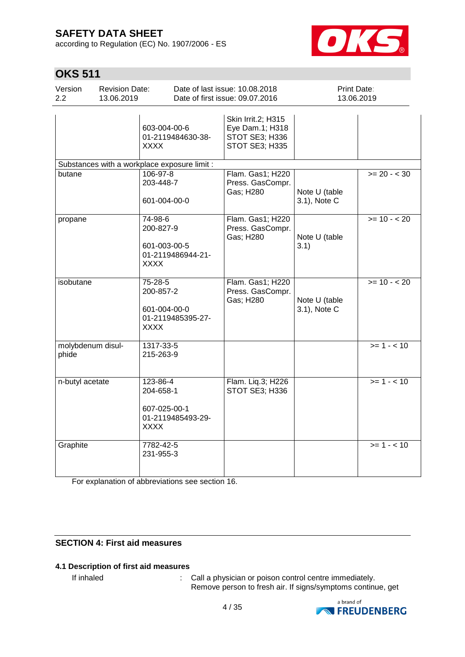according to Regulation (EC) No. 1907/2006 - ES



# **OKS 511**

| Version<br>2.2             | <b>Revision Date:</b><br>13.06.2019 |                                                                           | Date of last issue: 10.08.2018<br>Date of first issue: 09.07.2016         | Print Date:                   | 13.06.2019   |
|----------------------------|-------------------------------------|---------------------------------------------------------------------------|---------------------------------------------------------------------------|-------------------------------|--------------|
|                            |                                     | 603-004-00-6<br>01-2119484630-38-<br>XXXX                                 | Skin Irrit.2; H315<br>Eye Dam.1; H318<br>STOT SE3; H336<br>STOT SE3; H335 |                               |              |
|                            |                                     | Substances with a workplace exposure limit :                              |                                                                           |                               |              |
| butane                     |                                     | 106-97-8<br>203-448-7<br>601-004-00-0                                     | Flam. Gas1; H220<br>Press. GasCompr.<br>Gas; H280                         | Note U (table<br>3.1), Note C | $>= 20 - 30$ |
| propane                    |                                     | 74-98-6<br>200-827-9<br>601-003-00-5<br>01-2119486944-21-<br><b>XXXX</b>  | Flam. Gas1; H220<br>Press. GasCompr.<br>Gas; H280                         | Note U (table<br>3.1)         | $>= 10 - 20$ |
| isobutane                  |                                     | 75-28-5<br>200-857-2<br>601-004-00-0<br>01-2119485395-27-<br><b>XXXX</b>  | Flam. Gas1; H220<br>Press. GasCompr.<br>Gas; H280                         | Note U (table<br>3.1), Note C | $>= 10 - 20$ |
| molybdenum disul-<br>phide |                                     | 1317-33-5<br>215-263-9                                                    |                                                                           |                               | $>= 1 - 10$  |
| n-butyl acetate            |                                     | 123-86-4<br>204-658-1<br>607-025-00-1<br>01-2119485493-29-<br><b>XXXX</b> | Flam. Liq.3; H226<br>STOT SE3; H336                                       |                               | $>= 1 - 10$  |
| Graphite                   |                                     | 7782-42-5<br>231-955-3                                                    |                                                                           |                               | $>= 1 - 10$  |

For explanation of abbreviations see section 16.

## **SECTION 4: First aid measures**

## **4.1 Description of first aid measures**

If inhaled  $\blacksquare$ : Call a physician or poison control centre immediately. Remove person to fresh air. If signs/symptoms continue, get

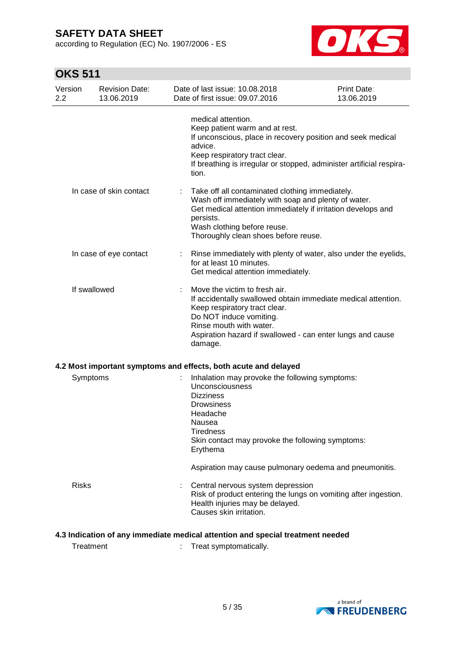according to Regulation (EC) No. 1907/2006 - ES



# **OKS 511**

| Version<br>2.2 | <b>Revision Date:</b><br>13.06.2019 | Date of last issue: 10.08.2018<br>Date of first issue: 09.07.2016                                                                                                                                                                                              | Print Date:<br>13.06.2019 |
|----------------|-------------------------------------|----------------------------------------------------------------------------------------------------------------------------------------------------------------------------------------------------------------------------------------------------------------|---------------------------|
|                |                                     | medical attention.<br>Keep patient warm and at rest.<br>If unconscious, place in recovery position and seek medical<br>advice.<br>Keep respiratory tract clear.<br>If breathing is irregular or stopped, administer artificial respira-<br>tion.               |                           |
|                | In case of skin contact             | Take off all contaminated clothing immediately.<br>Wash off immediately with soap and plenty of water.<br>Get medical attention immediately if irritation develops and<br>persists.<br>Wash clothing before reuse.<br>Thoroughly clean shoes before reuse.     |                           |
|                | In case of eye contact              | Rinse immediately with plenty of water, also under the eyelids,<br>for at least 10 minutes.<br>Get medical attention immediately.                                                                                                                              |                           |
| If swallowed   |                                     | Move the victim to fresh air.<br>If accidentally swallowed obtain immediate medical attention.<br>Keep respiratory tract clear.<br>Do NOT induce vomiting.<br>Rinse mouth with water.<br>Aspiration hazard if swallowed - can enter lungs and cause<br>damage. |                           |
|                |                                     | 4.2 Most important symptoms and effects, both acute and delayed                                                                                                                                                                                                |                           |
| Symptoms       |                                     | Inhalation may provoke the following symptoms:<br><b>Unconsciousness</b><br><b>Dizziness</b><br><b>Drowsiness</b><br>Headache<br>Nausea<br>Tiredness<br>Skin contact may provoke the following symptoms:<br>Erythema                                           |                           |
|                |                                     | Aspiration may cause pulmonary oedema and pneumonitis.                                                                                                                                                                                                         |                           |
| <b>Risks</b>   |                                     | Central nervous system depression<br>Risk of product entering the lungs on vomiting after ingestion.<br>Health injuries may be delayed.<br>Causes skin irritation.                                                                                             |                           |

## **4.3 Indication of any immediate medical attention and special treatment needed**

Treatment : Treat symptomatically.

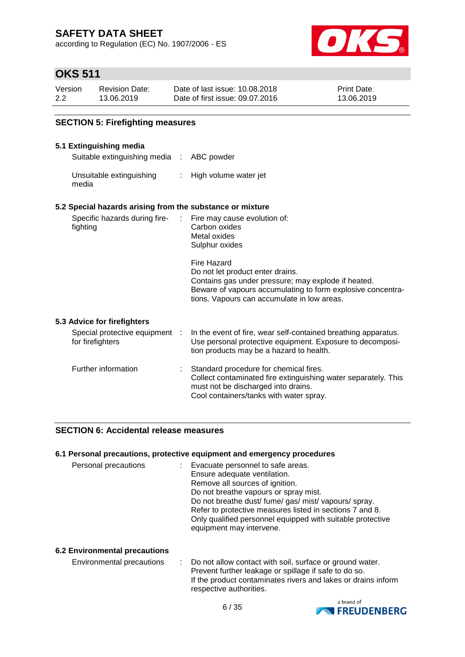according to Regulation (EC) No. 1907/2006 - ES



# **OKS 511**

**5.3 Advice for firefighters**

| Version | <b>Revision Date:</b> | Date of last issue: 10.08.2018  | <b>Print Date:</b> |
|---------|-----------------------|---------------------------------|--------------------|
| 2.2     | 13.06.2019            | Date of first issue: 09.07.2016 | 13.06.2019         |

## **SECTION 5: Firefighting measures**

### **5.1 Extinguishing media**

Suitable extinguishing media : ABC powder

Unsuitable extinguishing : High volume water jet media

### **5.2 Special hazards arising from the substance or mixture**

| Specific hazards during fire-<br>÷.<br>fighting    | Fire may cause evolution of:<br>Carbon oxides<br>Metal oxides<br>Sulphur oxides                                                                                                                                      |
|----------------------------------------------------|----------------------------------------------------------------------------------------------------------------------------------------------------------------------------------------------------------------------|
|                                                    | Fire Hazard<br>Do not let product enter drains.<br>Contains gas under pressure; may explode if heated.<br>Beware of vapours accumulating to form explosive concentra-<br>tions. Vapours can accumulate in low areas. |
| <b>Advice for firefighters</b>                     |                                                                                                                                                                                                                      |
| Special protective equipment :<br>for firefighters | In the event of fire, wear self-contained breathing apparatus.<br>Use personal protective equipment. Exposure to decomposi-<br>tion products may be a hazard to health.                                              |

| Further information | Standard procedure for chemical fires.<br>Collect contaminated fire extinguishing water separately. This<br>must not be discharged into drains.<br>Cool containers/tanks with water spray. |
|---------------------|--------------------------------------------------------------------------------------------------------------------------------------------------------------------------------------------|
|                     |                                                                                                                                                                                            |

## **SECTION 6: Accidental release measures**

### **6.1 Personal precautions, protective equipment and emergency procedures**

| Personal precautions | Evacuate personnel to safe areas.<br>Ensure adequate ventilation.<br>Remove all sources of ignition.<br>Do not breathe vapours or spray mist.<br>Do not breathe dust/fume/gas/mist/vapours/spray. |
|----------------------|---------------------------------------------------------------------------------------------------------------------------------------------------------------------------------------------------|
|                      | Refer to protective measures listed in sections 7 and 8.<br>Only qualified personnel equipped with suitable protective                                                                            |
|                      | equipment may intervene.                                                                                                                                                                          |

## **6.2 Environmental precautions**

| Environmental precautions | : Do not allow contact with soil, surface or ground water.<br>Prevent further leakage or spillage if safe to do so. |
|---------------------------|---------------------------------------------------------------------------------------------------------------------|
|                           | If the product contaminates rivers and lakes or drains inform<br>respective authorities.                            |

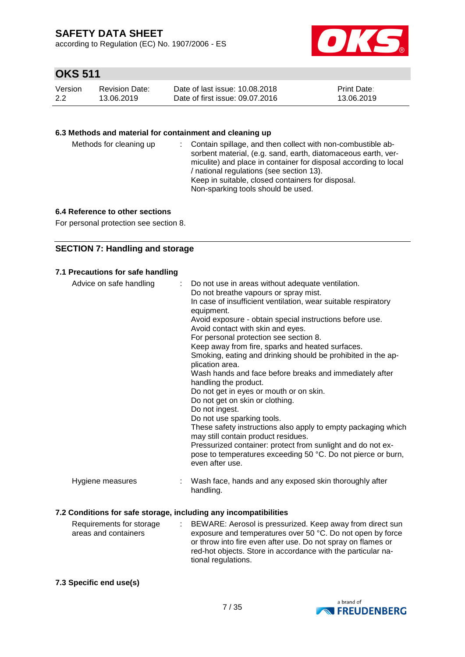according to Regulation (EC) No. 1907/2006 - ES



## **OKS 511**

| Version | Revision Date: | Date of last issue: 10.08.2018  | Print Date: |
|---------|----------------|---------------------------------|-------------|
| 2.2     | 13.06.2019     | Date of first issue: 09.07.2016 | 13.06.2019  |

## **6.3 Methods and material for containment and cleaning up**

| Methods for cleaning up |  | : Contain spillage, and then collect with non-combustible ab-<br>sorbent material, (e.g. sand, earth, diatomaceous earth, ver-<br>miculite) and place in container for disposal according to local<br>/ national regulations (see section 13).<br>Keep in suitable, closed containers for disposal.<br>Non-sparking tools should be used. |
|-------------------------|--|-------------------------------------------------------------------------------------------------------------------------------------------------------------------------------------------------------------------------------------------------------------------------------------------------------------------------------------------|
|-------------------------|--|-------------------------------------------------------------------------------------------------------------------------------------------------------------------------------------------------------------------------------------------------------------------------------------------------------------------------------------------|

### **6.4 Reference to other sections**

For personal protection see section 8.

## **SECTION 7: Handling and storage**

| 7.1 Precautions for safe handling |  |
|-----------------------------------|--|
|-----------------------------------|--|

| Advice on safe handling | Do not use in areas without adequate ventilation.<br>÷<br>Do not breathe vapours or spray mist.<br>In case of insufficient ventilation, wear suitable respiratory<br>equipment.<br>Avoid exposure - obtain special instructions before use.<br>Avoid contact with skin and eyes.<br>For personal protection see section 8.<br>Keep away from fire, sparks and heated surfaces.<br>Smoking, eating and drinking should be prohibited in the ap-<br>plication area.<br>Wash hands and face before breaks and immediately after<br>handling the product.<br>Do not get in eyes or mouth or on skin.<br>Do not get on skin or clothing.<br>Do not ingest.<br>Do not use sparking tools.<br>These safety instructions also apply to empty packaging which<br>may still contain product residues.<br>Pressurized container: protect from sunlight and do not ex-<br>pose to temperatures exceeding 50 °C. Do not pierce or burn, |
|-------------------------|----------------------------------------------------------------------------------------------------------------------------------------------------------------------------------------------------------------------------------------------------------------------------------------------------------------------------------------------------------------------------------------------------------------------------------------------------------------------------------------------------------------------------------------------------------------------------------------------------------------------------------------------------------------------------------------------------------------------------------------------------------------------------------------------------------------------------------------------------------------------------------------------------------------------------|
| Hygiene measures        | even after use.<br>Wash face, hands and any exposed skin thoroughly after                                                                                                                                                                                                                                                                                                                                                                                                                                                                                                                                                                                                                                                                                                                                                                                                                                                  |
|                         | handling.<br>7.2 Conditions for safe storage, including any incompatibilities                                                                                                                                                                                                                                                                                                                                                                                                                                                                                                                                                                                                                                                                                                                                                                                                                                              |

#### Requirements for storage areas and containers : BEWARE: Aerosol is pressurized. Keep away from direct sun exposure and temperatures over 50 °C. Do not open by force or throw into fire even after use. Do not spray on flames or red-hot objects. Store in accordance with the particular national regulations.

### **7.3 Specific end use(s)**

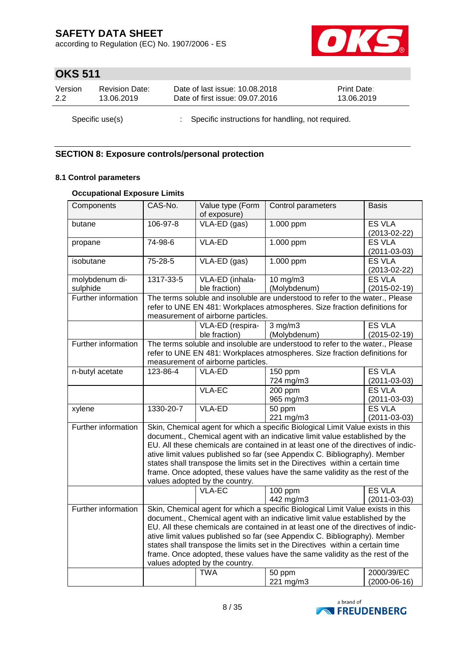according to Regulation (EC) No. 1907/2006 - ES



# **OKS 511**

| Version | <b>Revision Date:</b> | Date of last issue: 10.08.2018                      | <b>Print Date:</b> |
|---------|-----------------------|-----------------------------------------------------|--------------------|
| 2.2     | 13.06.2019            | Date of first issue: 09.07.2016                     | 13.06.2019         |
|         | Specific use(s)       | : Specific instructions for handling, not required. |                    |

## **SECTION 8: Exposure controls/personal protection**

## **8.1 Control parameters**

## **Occupational Exposure Limits**

| Components          | CAS-No.                                                                                                                                                        | Value type (Form                   | Control parameters                                                                | <b>Basis</b>       |
|---------------------|----------------------------------------------------------------------------------------------------------------------------------------------------------------|------------------------------------|-----------------------------------------------------------------------------------|--------------------|
|                     |                                                                                                                                                                | of exposure)                       |                                                                                   |                    |
| butane              | 106-97-8                                                                                                                                                       | VLA-ED (gas)                       | 1.000 ppm                                                                         | <b>ES VLA</b>      |
|                     |                                                                                                                                                                |                                    |                                                                                   | $(2013 - 02 - 22)$ |
| propane             | 74-98-6                                                                                                                                                        | <b>VLA-ED</b>                      | 1.000 ppm                                                                         | <b>ES VLA</b>      |
|                     |                                                                                                                                                                |                                    |                                                                                   | $(2011 - 03 - 03)$ |
| isobutane           | 75-28-5                                                                                                                                                        | VLA-ED (gas)                       | 1.000 ppm                                                                         | <b>ES VLA</b>      |
|                     |                                                                                                                                                                |                                    |                                                                                   | $(2013 - 02 - 22)$ |
| molybdenum di-      | 1317-33-5                                                                                                                                                      | VLA-ED (inhala-                    | 10 mg/m3                                                                          | <b>ES VLA</b>      |
| sulphide            |                                                                                                                                                                | ble fraction)                      | (Molybdenum)                                                                      | $(2015 - 02 - 19)$ |
| Further information |                                                                                                                                                                |                                    | The terms soluble and insoluble are understood to refer to the water., Please     |                    |
|                     |                                                                                                                                                                |                                    | refer to UNE EN 481: Workplaces atmospheres. Size fraction definitions for        |                    |
|                     |                                                                                                                                                                | measurement of airborne particles. |                                                                                   |                    |
|                     |                                                                                                                                                                | VLA-ED (respira-                   | $3$ mg/m $3$                                                                      | <b>ES VLA</b>      |
|                     |                                                                                                                                                                | ble fraction)                      | (Molybdenum)                                                                      | $(2015-02-19)$     |
| Further information |                                                                                                                                                                |                                    | The terms soluble and insoluble are understood to refer to the water., Please     |                    |
|                     |                                                                                                                                                                |                                    | refer to UNE EN 481: Workplaces atmospheres. Size fraction definitions for        |                    |
|                     |                                                                                                                                                                | measurement of airborne particles. |                                                                                   |                    |
| n-butyl acetate     | 123-86-4                                                                                                                                                       | <b>VLA-ED</b>                      | 150 ppm                                                                           | <b>ES VLA</b>      |
|                     |                                                                                                                                                                |                                    | 724 mg/m3                                                                         | $(2011 - 03 - 03)$ |
|                     |                                                                                                                                                                | <b>VLA-EC</b>                      | 200 ppm                                                                           | <b>ES VLA</b>      |
|                     |                                                                                                                                                                |                                    | 965 mg/m3                                                                         | $(2011 - 03 - 03)$ |
| xylene              | $1330 - 20 - 7$                                                                                                                                                | <b>VLA-ED</b>                      | 50 ppm                                                                            | <b>ES VLA</b>      |
|                     |                                                                                                                                                                |                                    | 221 mg/m3                                                                         | $(2011 - 03 - 03)$ |
| Further information |                                                                                                                                                                |                                    |                                                                                   |                    |
|                     | Skin, Chemical agent for which a specific Biological Limit Value exists in this<br>document., Chemical agent with an indicative limit value established by the |                                    |                                                                                   |                    |
|                     |                                                                                                                                                                |                                    | EU. All these chemicals are contained in at least one of the directives of indic- |                    |
|                     |                                                                                                                                                                |                                    | ative limit values published so far (see Appendix C. Bibliography). Member        |                    |
|                     |                                                                                                                                                                |                                    |                                                                                   |                    |
|                     |                                                                                                                                                                |                                    | states shall transpose the limits set in the Directives within a certain time     |                    |
|                     |                                                                                                                                                                |                                    | frame. Once adopted, these values have the same validity as the rest of the       |                    |
|                     |                                                                                                                                                                | values adopted by the country.     |                                                                                   |                    |
|                     |                                                                                                                                                                | <b>VLA-EC</b>                      | 100 ppm                                                                           | <b>ES VLA</b>      |
|                     |                                                                                                                                                                |                                    | 442 mg/m3                                                                         | $(2011 - 03 - 03)$ |
| Further information |                                                                                                                                                                |                                    | Skin, Chemical agent for which a specific Biological Limit Value exists in this   |                    |
|                     |                                                                                                                                                                |                                    | document., Chemical agent with an indicative limit value established by the       |                    |
|                     |                                                                                                                                                                |                                    | EU. All these chemicals are contained in at least one of the directives of indic- |                    |
|                     | ative limit values published so far (see Appendix C. Bibliography). Member                                                                                     |                                    |                                                                                   |                    |
|                     |                                                                                                                                                                |                                    | states shall transpose the limits set in the Directives within a certain time     |                    |
|                     | frame. Once adopted, these values have the same validity as the rest of the                                                                                    |                                    |                                                                                   |                    |
|                     |                                                                                                                                                                | values adopted by the country.     |                                                                                   |                    |
|                     |                                                                                                                                                                | <b>TWA</b>                         | 50 ppm                                                                            | 2000/39/EC         |
|                     |                                                                                                                                                                |                                    | 221 mg/m3                                                                         | $(2000-06-16)$     |

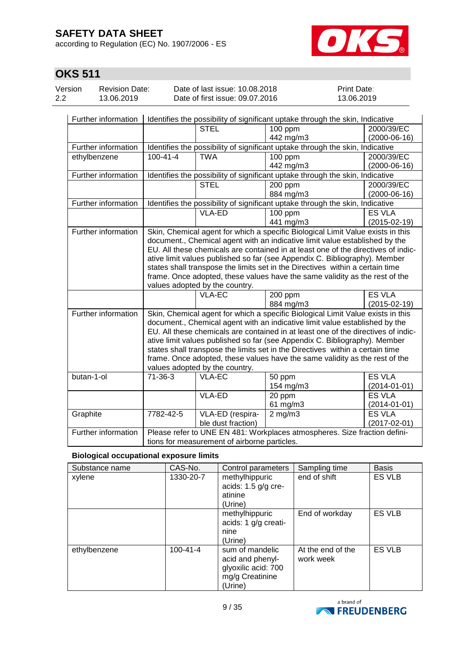according to Regulation (EC) No. 1907/2006 - ES



# **OKS 511**

| Version | <b>Revision Date:</b> | Date of last issue: 10.08.2018  | <b>Print Date:</b> |
|---------|-----------------------|---------------------------------|--------------------|
| 2.2     | 13.06.2019            | Date of first issue: 09.07.2016 | 13.06.2019         |

| Further information | Identifies the possibility of significant uptake through the skin, Indicative                                                                                  |                                                                               |                                                                                   |                    |  |
|---------------------|----------------------------------------------------------------------------------------------------------------------------------------------------------------|-------------------------------------------------------------------------------|-----------------------------------------------------------------------------------|--------------------|--|
|                     |                                                                                                                                                                | <b>STEL</b>                                                                   | $100$ ppm                                                                         | 2000/39/EC         |  |
|                     |                                                                                                                                                                |                                                                               | 442 mg/m3                                                                         | $(2000-06-16)$     |  |
| Further information |                                                                                                                                                                | Identifies the possibility of significant uptake through the skin, Indicative |                                                                                   |                    |  |
| ethylbenzene        | $100 - 41 - 4$                                                                                                                                                 | <b>TWA</b>                                                                    | $100$ ppm                                                                         | 2000/39/EC         |  |
|                     |                                                                                                                                                                |                                                                               | 442 mg/m3                                                                         | $(2000-06-16)$     |  |
| Further information |                                                                                                                                                                |                                                                               | Identifies the possibility of significant uptake through the skin, Indicative     |                    |  |
|                     |                                                                                                                                                                | <b>STEL</b>                                                                   | 200 ppm                                                                           | 2000/39/EC         |  |
|                     |                                                                                                                                                                |                                                                               | 884 mg/m3                                                                         | $(2000-06-16)$     |  |
| Further information |                                                                                                                                                                |                                                                               | Identifies the possibility of significant uptake through the skin, Indicative     |                    |  |
|                     |                                                                                                                                                                | VLA-ED                                                                        | $100$ ppm                                                                         | <b>ES VLA</b>      |  |
|                     |                                                                                                                                                                |                                                                               | 441 mg/m3                                                                         | $(2015-02-19)$     |  |
| Further information |                                                                                                                                                                |                                                                               | Skin, Chemical agent for which a specific Biological Limit Value exists in this   |                    |  |
|                     |                                                                                                                                                                |                                                                               | document., Chemical agent with an indicative limit value established by the       |                    |  |
|                     |                                                                                                                                                                |                                                                               | EU. All these chemicals are contained in at least one of the directives of indic- |                    |  |
|                     |                                                                                                                                                                |                                                                               | ative limit values published so far (see Appendix C. Bibliography). Member        |                    |  |
|                     |                                                                                                                                                                |                                                                               | states shall transpose the limits set in the Directives within a certain time     |                    |  |
|                     | frame. Once adopted, these values have the same validity as the rest of the                                                                                    |                                                                               |                                                                                   |                    |  |
|                     |                                                                                                                                                                | values adopted by the country.                                                |                                                                                   |                    |  |
|                     |                                                                                                                                                                | $VLA-EC$                                                                      | 200 ppm                                                                           | <b>ES VLA</b>      |  |
|                     |                                                                                                                                                                |                                                                               | 884 mg/m3                                                                         | $(2015-02-19)$     |  |
| Further information | Skin, Chemical agent for which a specific Biological Limit Value exists in this<br>document., Chemical agent with an indicative limit value established by the |                                                                               |                                                                                   |                    |  |
|                     |                                                                                                                                                                |                                                                               |                                                                                   |                    |  |
|                     |                                                                                                                                                                |                                                                               | EU. All these chemicals are contained in at least one of the directives of indic- |                    |  |
|                     |                                                                                                                                                                |                                                                               | ative limit values published so far (see Appendix C. Bibliography). Member        |                    |  |
|                     |                                                                                                                                                                |                                                                               | states shall transpose the limits set in the Directives within a certain time     |                    |  |
|                     |                                                                                                                                                                |                                                                               | frame. Once adopted, these values have the same validity as the rest of the       |                    |  |
|                     |                                                                                                                                                                | values adopted by the country.                                                |                                                                                   |                    |  |
| butan-1-ol          | $71 - 36 - 3$                                                                                                                                                  | VLA-EC                                                                        | 50 ppm                                                                            | <b>ES VLA</b>      |  |
|                     |                                                                                                                                                                |                                                                               | 154 mg/m3                                                                         | $(2014 - 01 - 01)$ |  |
|                     |                                                                                                                                                                | <b>VLA-ED</b>                                                                 | 20 ppm                                                                            | <b>ES VLA</b>      |  |
|                     |                                                                                                                                                                |                                                                               | 61 mg/m3                                                                          | $(2014 - 01 - 01)$ |  |
| Graphite            | 7782-42-5                                                                                                                                                      | VLA-ED (respira-                                                              | $2$ mg/m $3$                                                                      | <b>ES VLA</b>      |  |
|                     |                                                                                                                                                                | ble dust fraction)                                                            |                                                                                   | $(2017 - 02 - 01)$ |  |
| Further information |                                                                                                                                                                |                                                                               | Please refer to UNE EN 481: Workplaces atmospheres. Size fraction defini-         |                    |  |
|                     | tions for measurement of airborne particles.                                                                                                                   |                                                                               |                                                                                   |                    |  |

### **Biological occupational exposure limits**

| Substance name | CAS-No.        | Control parameters                                                                       | Sampling time                  | <b>Basis</b>  |
|----------------|----------------|------------------------------------------------------------------------------------------|--------------------------------|---------------|
| xylene         | 1330-20-7      | methylhippuric<br>acids: $1.5$ g/g cre-<br>atinine<br>(Urine)                            | end of shift                   | ES VLB        |
|                |                | methylhippuric<br>acids: 1 g/g creati-<br>nine<br>(Urine)                                | End of workday                 | ES VLB        |
| ethylbenzene   | $100 - 41 - 4$ | sum of mandelic<br>acid and phenyl-<br>glyoxilic acid: 700<br>mg/g Creatinine<br>(Urine) | At the end of the<br>work week | <b>ES VLB</b> |

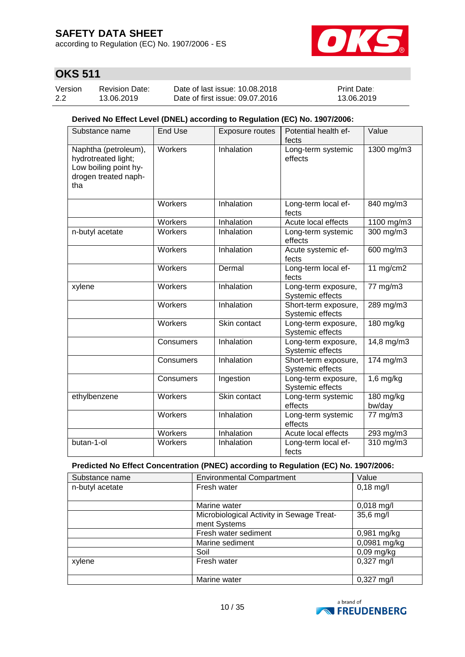according to Regulation (EC) No. 1907/2006 - ES



# **OKS 511**

| Version | <b>Revision Date:</b> | Date of last issue: 10.08.2018  | <b>Print Date:</b> |
|---------|-----------------------|---------------------------------|--------------------|
| 2.2     | 13.06.2019            | Date of first issue: 09.07.2016 | 13.06.2019         |

## **Derived No Effect Level (DNEL) according to Regulation (EC) No. 1907/2006:**

| Substance name                                                                                      | End Use   | Exposure routes | Potential health ef-<br>fects            | Value               |
|-----------------------------------------------------------------------------------------------------|-----------|-----------------|------------------------------------------|---------------------|
| Naphtha (petroleum),<br>hydrotreated light;<br>Low boiling point hy-<br>drogen treated naph-<br>tha | Workers   | Inhalation      | Long-term systemic<br>effects            | 1300 mg/m3          |
|                                                                                                     | Workers   | Inhalation      | Long-term local ef-<br>fects             | 840 mg/m3           |
|                                                                                                     | Workers   | Inhalation      | Acute local effects                      | 1100 mg/m3          |
| n-butyl acetate                                                                                     | Workers   | Inhalation      | Long-term systemic<br>effects            | $300$ mg/m $3$      |
|                                                                                                     | Workers   | Inhalation      | Acute systemic ef-<br>fects              | 600 mg/m3           |
|                                                                                                     | Workers   | Dermal          | Long-term local ef-<br>fects             | 11 $mg/cm2$         |
| xylene                                                                                              | Workers   | Inhalation      | Long-term exposure,<br>Systemic effects  | 77 mg/m3            |
|                                                                                                     | Workers   | Inhalation      | Short-term exposure,<br>Systemic effects | 289 mg/m3           |
|                                                                                                     | Workers   | Skin contact    | Long-term exposure,<br>Systemic effects  | $180$ mg/kg         |
|                                                                                                     | Consumers | Inhalation      | Long-term exposure,<br>Systemic effects  | 14,8 mg/m3          |
|                                                                                                     | Consumers | Inhalation      | Short-term exposure,<br>Systemic effects | 174 mg/m3           |
|                                                                                                     | Consumers | Ingestion       | Long-term exposure,<br>Systemic effects  | $1,6$ mg/kg         |
| ethylbenzene                                                                                        | Workers   | Skin contact    | Long-term systemic<br>effects            | 180 mg/kg<br>bw/day |
|                                                                                                     | Workers   | Inhalation      | Long-term systemic<br>effects            | 77 mg/m3            |
|                                                                                                     | Workers   | Inhalation      | Acute local effects                      | 293 mg/m3           |
| butan-1-ol                                                                                          | Workers   | Inhalation      | Long-term local ef-<br>fects             | $310$ mg/m $3$      |

## **Predicted No Effect Concentration (PNEC) according to Regulation (EC) No. 1907/2006:**

| Substance name  | Value<br><b>Environmental Compartment</b> |                      |  |  |
|-----------------|-------------------------------------------|----------------------|--|--|
| n-butyl acetate | Fresh water                               | $0,18$ mg/l          |  |  |
|                 |                                           |                      |  |  |
|                 | Marine water                              | $0,018$ mg/l         |  |  |
|                 | Microbiological Activity in Sewage Treat- | 35,6 mg/l            |  |  |
|                 | ment Systems                              |                      |  |  |
|                 | Fresh water sediment                      | $0,981$ mg/kg        |  |  |
|                 | Marine sediment                           | 0,0981 mg/kg         |  |  |
|                 | Soil                                      | $0,09$ mg/kg         |  |  |
| xylene          | Fresh water                               | $0,327 \text{ mg/l}$ |  |  |
|                 |                                           |                      |  |  |
|                 | Marine water                              | $0,327 \text{ mg/l}$ |  |  |

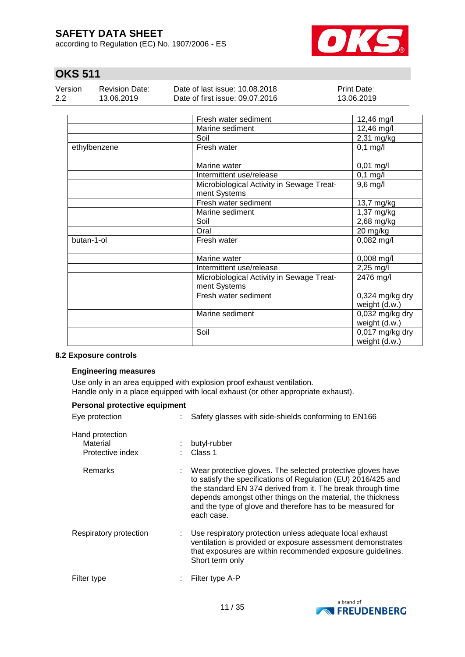according to Regulation (EC) No. 1907/2006 - ES



# **OKS 511**

| Version | <b>Revision Date:</b> | Date of last issue: 10.08.2018  | <b>Print Date:</b> |
|---------|-----------------------|---------------------------------|--------------------|
| 2.2     | 13.06.2019            | Date of first issue: 09.07.2016 | 13.06.2019         |
|         |                       |                                 |                    |

|              | Fresh water sediment                                      | 12,46 mg/l                         |
|--------------|-----------------------------------------------------------|------------------------------------|
|              | Marine sediment                                           | 12,46 mg/l                         |
|              | Soil                                                      | 2,31 mg/kg                         |
| ethylbenzene | Fresh water                                               | $0,1$ mg/l                         |
|              | Marine water                                              | $0,01$ mg/l                        |
|              | Intermittent use/release                                  | $0,1$ mg/l                         |
|              | Microbiological Activity in Sewage Treat-<br>ment Systems | $9,6$ mg/l                         |
|              | Fresh water sediment                                      | 13,7 mg/kg                         |
|              | Marine sediment                                           | 1,37 mg/kg                         |
|              | Soil                                                      | 2,68 mg/kg                         |
|              | Oral                                                      | 20 mg/kg                           |
| butan-1-ol   | Fresh water                                               | $0,082$ mg/l                       |
|              | Marine water                                              | $0,008$ mg/l                       |
|              | Intermittent use/release                                  | 2,25 mg/l                          |
|              | Microbiological Activity in Sewage Treat-<br>ment Systems | 2476 mg/l                          |
|              | Fresh water sediment                                      | $0,324$ mg/kg dry<br>weight (d.w.) |
|              | Marine sediment                                           | 0,032 mg/kg dry<br>weight (d.w.)   |
|              | Soil                                                      | 0,017 mg/kg dry<br>weight (d.w.)   |

### **8.2 Exposure controls**

### **Engineering measures**

Use only in an area equipped with explosion proof exhaust ventilation. Handle only in a place equipped with local exhaust (or other appropriate exhaust).

| Personal protective equipment                   |                                                                                                                                                                                                                                                                                                                                        |
|-------------------------------------------------|----------------------------------------------------------------------------------------------------------------------------------------------------------------------------------------------------------------------------------------------------------------------------------------------------------------------------------------|
| Eye protection                                  | Safety glasses with side-shields conforming to EN166                                                                                                                                                                                                                                                                                   |
| Hand protection<br>Material<br>Protective index | butyl-rubber<br>Class 1                                                                                                                                                                                                                                                                                                                |
| Remarks                                         | Wear protective gloves. The selected protective gloves have<br>to satisfy the specifications of Regulation (EU) 2016/425 and<br>the standard EN 374 derived from it. The break through time<br>depends amongst other things on the material, the thickness<br>and the type of glove and therefore has to be measured for<br>each case. |
| Respiratory protection<br>÷.                    | Use respiratory protection unless adequate local exhaust<br>ventilation is provided or exposure assessment demonstrates<br>that exposures are within recommended exposure guidelines.<br>Short term only                                                                                                                               |
| Filter type                                     | Filter type A-P                                                                                                                                                                                                                                                                                                                        |

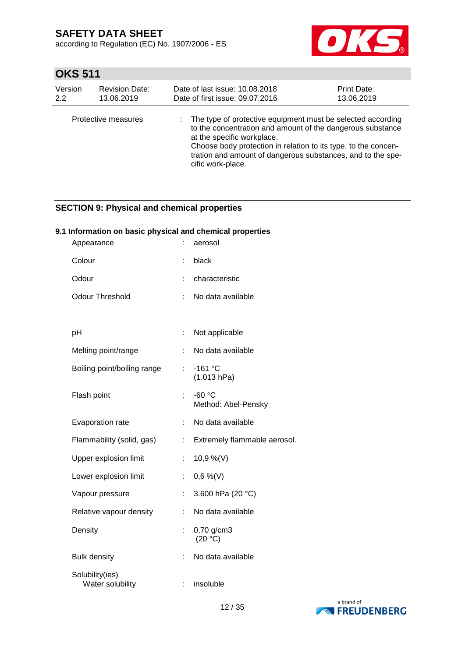according to Regulation (EC) No. 1907/2006 - ES



# **OKS 511**

| Version<br>2.2 | <b>Revision Date:</b><br>13.06.2019 | Date of last issue: 10.08.2018<br><b>Print Date:</b><br>Date of first issue: 09.07.2016<br>13.06.2019 |                                                                                                                                                                                                                                                                                                               |  |  |
|----------------|-------------------------------------|-------------------------------------------------------------------------------------------------------|---------------------------------------------------------------------------------------------------------------------------------------------------------------------------------------------------------------------------------------------------------------------------------------------------------------|--|--|
|                | Protective measures                 |                                                                                                       | The type of protective equipment must be selected according<br>to the concentration and amount of the dangerous substance<br>at the specific workplace.<br>Choose body protection in relation to its type, to the concen-<br>tration and amount of dangerous substances, and to the spe-<br>cific work-place. |  |  |

## **SECTION 9: Physical and chemical properties**

## **9.1 Information on basic physical and chemical properties**

| Appearance                          |    | aerosol                         |
|-------------------------------------|----|---------------------------------|
| Colour                              | t. | black                           |
| Odour                               | t  | characteristic                  |
| <b>Odour Threshold</b>              | ÷  | No data available               |
|                                     |    |                                 |
| pH                                  | t. | Not applicable                  |
| Melting point/range                 | t  | No data available               |
| Boiling point/boiling range         | ÷. | $-161$ °C<br>(1.013 hPa)        |
| Flash point                         | ÷. | $-60 °C$<br>Method: Abel-Pensky |
| Evaporation rate                    | ÷  | No data available               |
| Flammability (solid, gas)           | ÷  | Extremely flammable aerosol.    |
| Upper explosion limit               | t, | 10,9 %(V)                       |
| Lower explosion limit               | ÷. | $0,6\%$ (V)                     |
| Vapour pressure                     | t. | 3.600 hPa (20 °C)               |
| Relative vapour density             | t. | No data available               |
| Density                             | t  | 0,70 g/cm3<br>(20 °C)           |
| <b>Bulk density</b>                 | ÷  | No data available               |
| Solubility(ies)<br>Water solubility |    | insoluble                       |

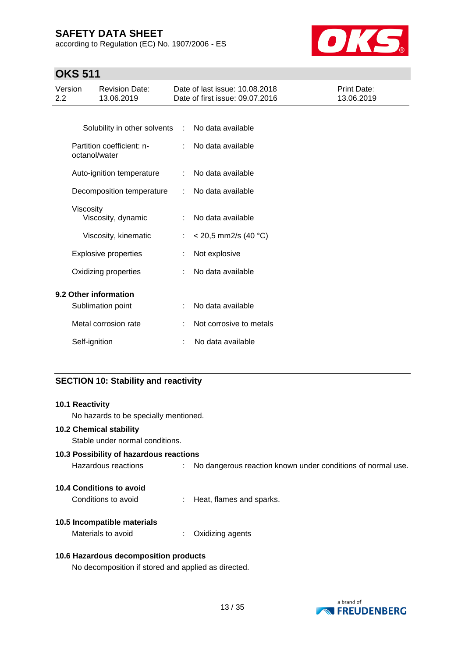according to Regulation (EC) No. 1907/2006 - ES



# **OKS 511**

| Version<br>$2.2\phantom{0}$ |                             | <b>Revision Date:</b><br>13.06.2019 |    | Date of last issue: 10.08.2018<br>Date of first issue: 09.07.2016 | Print Date:<br>13.06.2019 |
|-----------------------------|-----------------------------|-------------------------------------|----|-------------------------------------------------------------------|---------------------------|
|                             |                             |                                     |    |                                                                   |                           |
|                             |                             | Solubility in other solvents :      |    | No data available                                                 |                           |
|                             | octanol/water               | Partition coefficient: n-           | ÷. | No data available                                                 |                           |
|                             |                             | Auto-ignition temperature           |    | No data available                                                 |                           |
|                             |                             | Decomposition temperature           |    | No data available                                                 |                           |
|                             | <b>Viscosity</b>            | Viscosity, dynamic                  | ÷. | No data available                                                 |                           |
|                             |                             | Viscosity, kinematic                | ÷. | $<$ 20,5 mm2/s (40 °C)                                            |                           |
|                             | <b>Explosive properties</b> |                                     |    | Not explosive                                                     |                           |
|                             | Oxidizing properties        |                                     |    | No data available                                                 |                           |
|                             |                             | 9.2 Other information               |    |                                                                   |                           |
|                             |                             | Sublimation point                   |    | No data available                                                 |                           |
|                             |                             | Metal corrosion rate                |    | Not corrosive to metals                                           |                           |
|                             | Self-ignition               |                                     |    | No data available                                                 |                           |

## **SECTION 10: Stability and reactivity**

| 10.1 Reactivity                                     |                                                             |
|-----------------------------------------------------|-------------------------------------------------------------|
| No hazards to be specially mentioned.               |                                                             |
| 10.2 Chemical stability                             |                                                             |
| Stable under normal conditions.                     |                                                             |
| 10.3 Possibility of hazardous reactions             |                                                             |
| Hazardous reactions                                 | No dangerous reaction known under conditions of normal use. |
| 10.4 Conditions to avoid                            |                                                             |
| Conditions to avoid                                 | Heat, flames and sparks.                                    |
| 10.5 Incompatible materials                         |                                                             |
| Materials to avoid                                  | Oxidizing agents                                            |
| 10.6 Hazardous decomposition products               |                                                             |
| No decomposition if stored and applied as directed. |                                                             |

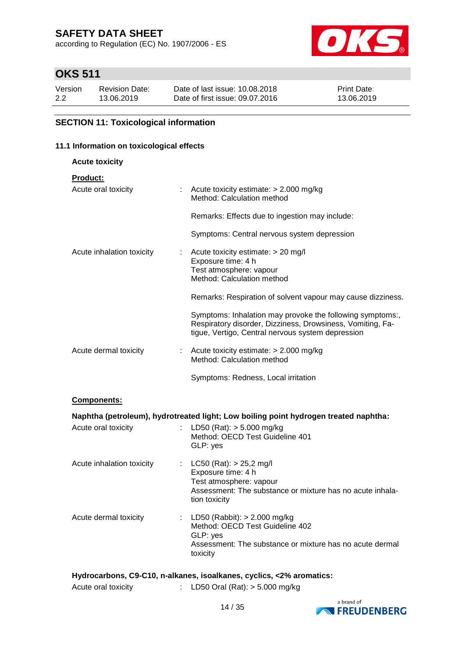according to Regulation (EC) No. 1907/2006 - ES



# **OKS 511**

| Version | <b>Revision Date:</b> | Date of last issue: 10.08.2018  | <b>Print Date:</b> |
|---------|-----------------------|---------------------------------|--------------------|
| 2.2     | 13.06.2019            | Date of first issue: 09.07.2016 | 13.06.2019         |

## **SECTION 11: Toxicological information**

## **11.1 Information on toxicological effects**

| <b>Acute toxicity</b>     |                                                                                                                                                                              |
|---------------------------|------------------------------------------------------------------------------------------------------------------------------------------------------------------------------|
| <b>Product:</b>           |                                                                                                                                                                              |
| Acute oral toxicity       | $\therefore$ Acute toxicity estimate: $> 2.000$ mg/kg<br>Method: Calculation method                                                                                          |
|                           | Remarks: Effects due to ingestion may include:                                                                                                                               |
|                           | Symptoms: Central nervous system depression                                                                                                                                  |
| Acute inhalation toxicity | $\therefore$ Acute toxicity estimate: $>$ 20 mg/l<br>Exposure time: 4 h<br>Test atmosphere: vapour<br>Method: Calculation method                                             |
|                           | Remarks: Respiration of solvent vapour may cause dizziness.                                                                                                                  |
|                           | Symptoms: Inhalation may provoke the following symptoms:,<br>Respiratory disorder, Dizziness, Drowsiness, Vomiting, Fa-<br>tigue, Vertigo, Central nervous system depression |
| Acute dermal toxicity     | $\therefore$ Acute toxicity estimate: $>$ 2.000 mg/kg<br>Method: Calculation method                                                                                          |
|                           | Symptoms: Redness, Local irritation                                                                                                                                          |
|                           |                                                                                                                                                                              |

### **Components:**

|                           | Naphtha (petroleum), hydrotreated light; Low boiling point hydrogen treated naphtha:                                                                         |
|---------------------------|--------------------------------------------------------------------------------------------------------------------------------------------------------------|
| Acute oral toxicity       | : LD50 (Rat): $>$ 5.000 mg/kg<br>Method: OECD Test Guideline 401<br>GLP: yes                                                                                 |
| Acute inhalation toxicity | : $LC50$ (Rat): $> 25,2$ mg/l<br>Exposure time: 4 h<br>Test atmosphere: vapour<br>Assessment: The substance or mixture has no acute inhala-<br>tion toxicity |
| Acute dermal toxicity     | : LD50 (Rabbit): $> 2.000$ mg/kg<br>Method: OECD Test Guideline 402<br>GLP: yes<br>Assessment: The substance or mixture has no acute dermal<br>toxicity      |

### **Hydrocarbons, C9-C10, n-alkanes, isoalkanes, cyclics, <2% aromatics:**

| Acute oral toxicity | LD50 Oral (Rat): > 5.000 mg/kg |  |  |
|---------------------|--------------------------------|--|--|
|                     |                                |  |  |

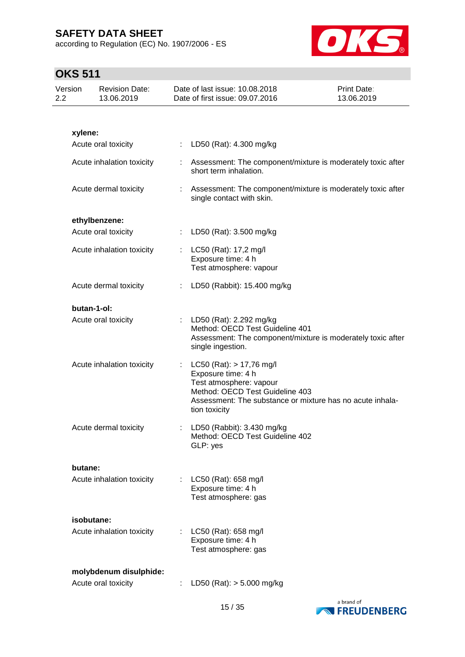according to Regulation (EC) No. 1907/2006 - ES



| Version<br>2.2 |             | <b>Revision Date:</b><br>13.06.2019 |    | Date of last issue: 10.08.2018<br>Date of first issue: 09.07.2016                                                                                                                              | Print Date:<br>13.06.2019 |
|----------------|-------------|-------------------------------------|----|------------------------------------------------------------------------------------------------------------------------------------------------------------------------------------------------|---------------------------|
|                |             |                                     |    |                                                                                                                                                                                                |                           |
|                | xylene:     |                                     |    |                                                                                                                                                                                                |                           |
|                |             | Acute oral toxicity                 |    | : LD50 (Rat): 4.300 mg/kg                                                                                                                                                                      |                           |
|                |             | Acute inhalation toxicity           |    | Assessment: The component/mixture is moderately toxic after<br>short term inhalation.                                                                                                          |                           |
|                |             | Acute dermal toxicity               |    | : Assessment: The component/mixture is moderately toxic after<br>single contact with skin.                                                                                                     |                           |
|                |             | ethylbenzene:                       |    |                                                                                                                                                                                                |                           |
|                |             | Acute oral toxicity                 |    | LD50 (Rat): 3.500 mg/kg                                                                                                                                                                        |                           |
|                |             | Acute inhalation toxicity           |    | : $LC50$ (Rat): 17,2 mg/l<br>Exposure time: 4 h<br>Test atmosphere: vapour                                                                                                                     |                           |
|                |             | Acute dermal toxicity               |    | LD50 (Rabbit): 15.400 mg/kg                                                                                                                                                                    |                           |
|                | butan-1-ol: |                                     |    |                                                                                                                                                                                                |                           |
|                |             | Acute oral toxicity                 |    | LD50 (Rat): 2.292 mg/kg<br>Method: OECD Test Guideline 401<br>Assessment: The component/mixture is moderately toxic after<br>single ingestion.                                                 |                           |
|                |             | Acute inhalation toxicity           | ÷. | $LC50$ (Rat): $> 17,76$ mg/l<br>Exposure time: 4 h<br>Test atmosphere: vapour<br>Method: OECD Test Guideline 403<br>Assessment: The substance or mixture has no acute inhala-<br>tion toxicity |                           |
|                |             | Acute dermal toxicity               |    | LD50 (Rabbit): 3.430 mg/kg<br>Method: OECD Test Guideline 402<br>GLP: yes                                                                                                                      |                           |
|                | butane:     |                                     |    |                                                                                                                                                                                                |                           |
|                |             | Acute inhalation toxicity           |    | LC50 (Rat): 658 mg/l<br>Exposure time: 4 h<br>Test atmosphere: gas                                                                                                                             |                           |
|                | isobutane:  |                                     |    |                                                                                                                                                                                                |                           |
|                |             | Acute inhalation toxicity           |    | LC50 (Rat): 658 mg/l<br>Exposure time: 4 h<br>Test atmosphere: gas                                                                                                                             |                           |
|                |             | molybdenum disulphide:              |    |                                                                                                                                                                                                |                           |
|                |             | Acute oral toxicity                 |    | LD50 (Rat): $> 5.000$ mg/kg                                                                                                                                                                    |                           |

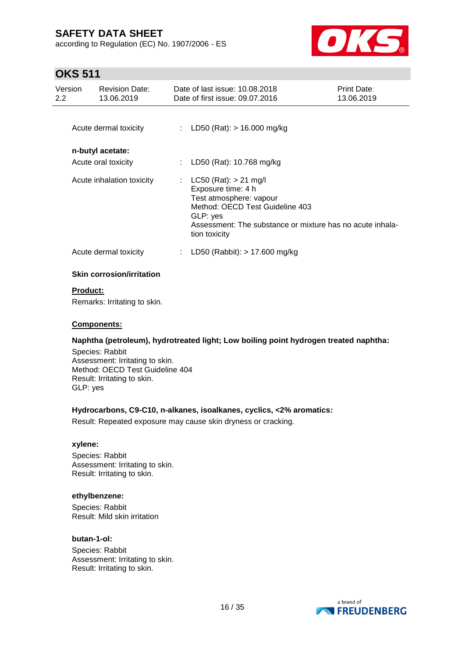according to Regulation (EC) No. 1907/2006 - ES



## **OKS 511**

| Version<br>$2.2^{\circ}$ | <b>Revision Date:</b><br>13.06.2019 | Date of last issue: 10.08.2018<br>Date of first issue: 09.07.2016                                                                                                                                       | <b>Print Date:</b><br>13.06.2019 |
|--------------------------|-------------------------------------|---------------------------------------------------------------------------------------------------------------------------------------------------------------------------------------------------------|----------------------------------|
|                          | Acute dermal toxicity               | : LD50 (Rat): $> 16.000$ mg/kg                                                                                                                                                                          |                                  |
|                          | n-butyl acetate:                    |                                                                                                                                                                                                         |                                  |
|                          | Acute oral toxicity                 | LD50 (Rat): 10.768 mg/kg                                                                                                                                                                                |                                  |
|                          | Acute inhalation toxicity           | : LC50 (Rat): $> 21$ mg/l<br>Exposure time: 4 h<br>Test atmosphere: vapour<br>Method: OECD Test Guideline 403<br>GLP: yes<br>Assessment: The substance or mixture has no acute inhala-<br>tion toxicity |                                  |
|                          | Acute dermal toxicity               | LD50 (Rabbit): $> 17.600$ mg/kg                                                                                                                                                                         |                                  |
|                          | <b>Skin corrosion/irritation</b>    |                                                                                                                                                                                                         |                                  |

## **Product:**

Remarks: Irritating to skin.

## **Components:**

## **Naphtha (petroleum), hydrotreated light; Low boiling point hydrogen treated naphtha:**

Species: Rabbit Assessment: Irritating to skin. Method: OECD Test Guideline 404 Result: Irritating to skin. GLP: yes

### **Hydrocarbons, C9-C10, n-alkanes, isoalkanes, cyclics, <2% aromatics:**

Result: Repeated exposure may cause skin dryness or cracking.

### **xylene:**

Species: Rabbit Assessment: Irritating to skin. Result: Irritating to skin.

### **ethylbenzene:**

Species: Rabbit Result: Mild skin irritation

### **butan-1-ol:**

Species: Rabbit Assessment: Irritating to skin. Result: Irritating to skin.

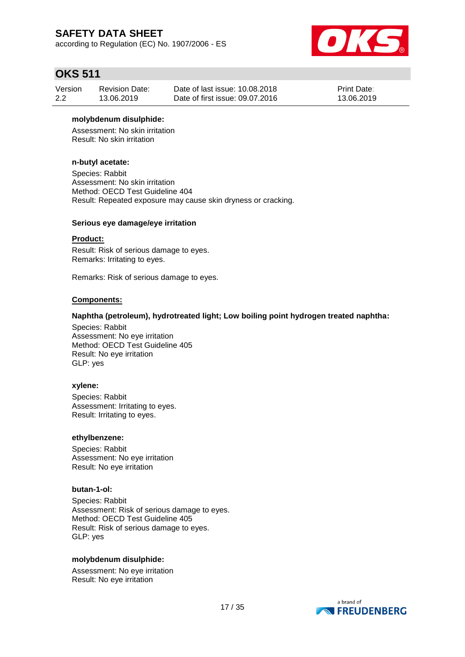according to Regulation (EC) No. 1907/2006 - ES



## **OKS 511**

| Version | <b>Revision Date:</b> | Date of last issue: 10.08.2018  | <b>Print Date:</b> |
|---------|-----------------------|---------------------------------|--------------------|
| 2.2     | 13.06.2019            | Date of first issue: 09.07.2016 | 13.06.2019         |

### **molybdenum disulphide:**

Assessment: No skin irritation Result: No skin irritation

## **n-butyl acetate:**

Species: Rabbit Assessment: No skin irritation Method: OECD Test Guideline 404 Result: Repeated exposure may cause skin dryness or cracking.

### **Serious eye damage/eye irritation**

### **Product:**

Result: Risk of serious damage to eyes. Remarks: Irritating to eyes.

Remarks: Risk of serious damage to eyes.

### **Components:**

### **Naphtha (petroleum), hydrotreated light; Low boiling point hydrogen treated naphtha:**

Species: Rabbit Assessment: No eye irritation Method: OECD Test Guideline 405 Result: No eye irritation GLP: yes

### **xylene:**

Species: Rabbit Assessment: Irritating to eyes. Result: Irritating to eyes.

### **ethylbenzene:**

Species: Rabbit Assessment: No eye irritation Result: No eye irritation

### **butan-1-ol:**

Species: Rabbit Assessment: Risk of serious damage to eyes. Method: OECD Test Guideline 405 Result: Risk of serious damage to eyes. GLP: yes

### **molybdenum disulphide:**

Assessment: No eye irritation Result: No eye irritation

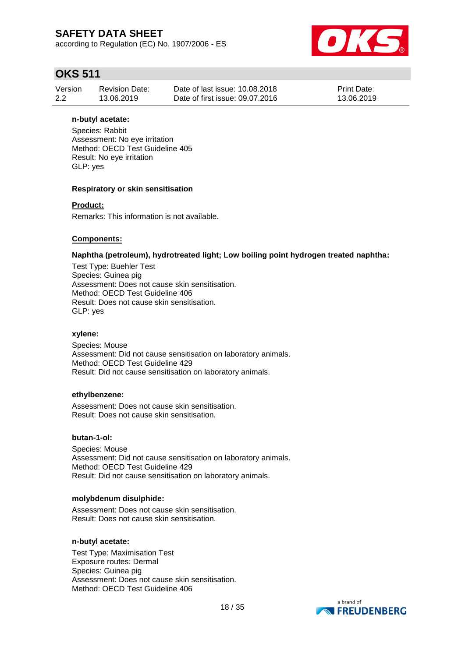according to Regulation (EC) No. 1907/2006 - ES



## **OKS 511**

| Version | <b>Revision Date:</b> | Date of last issue: 10.08.2018  | <b>Print Date:</b> |
|---------|-----------------------|---------------------------------|--------------------|
| 2.2     | 13.06.2019            | Date of first issue: 09.07.2016 | 13.06.2019         |

### **n-butyl acetate:**

Species: Rabbit Assessment: No eye irritation Method: OECD Test Guideline 405 Result: No eye irritation GLP: yes

### **Respiratory or skin sensitisation**

### **Product:**

Remarks: This information is not available.

### **Components:**

### **Naphtha (petroleum), hydrotreated light; Low boiling point hydrogen treated naphtha:**

Test Type: Buehler Test Species: Guinea pig Assessment: Does not cause skin sensitisation. Method: OECD Test Guideline 406 Result: Does not cause skin sensitisation. GLP: yes

### **xylene:**

Species: Mouse Assessment: Did not cause sensitisation on laboratory animals. Method: OECD Test Guideline 429 Result: Did not cause sensitisation on laboratory animals.

### **ethylbenzene:**

Assessment: Does not cause skin sensitisation. Result: Does not cause skin sensitisation.

### **butan-1-ol:**

Species: Mouse Assessment: Did not cause sensitisation on laboratory animals. Method: OECD Test Guideline 429 Result: Did not cause sensitisation on laboratory animals.

### **molybdenum disulphide:**

Assessment: Does not cause skin sensitisation. Result: Does not cause skin sensitisation.

### **n-butyl acetate:**

Test Type: Maximisation Test Exposure routes: Dermal Species: Guinea pig Assessment: Does not cause skin sensitisation. Method: OECD Test Guideline 406

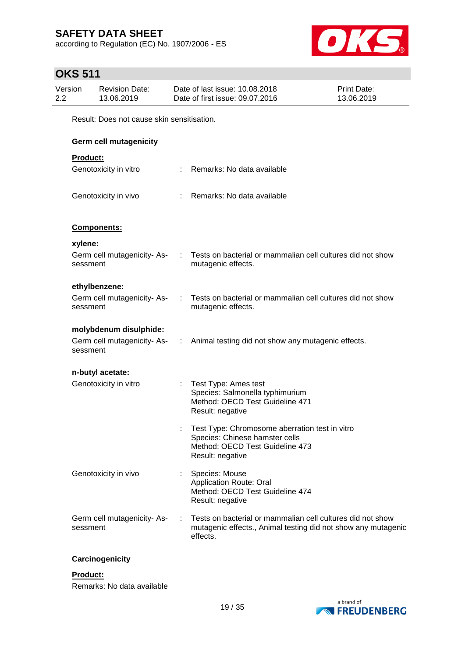according to Regulation (EC) No. 1907/2006 - ES



# **OKS 511**

|                | ,,,,,,,  |                                            |   |                                                                                                                                         |                           |
|----------------|----------|--------------------------------------------|---|-----------------------------------------------------------------------------------------------------------------------------------------|---------------------------|
| Version<br>2.2 |          | <b>Revision Date:</b><br>13.06.2019        |   | Date of last issue: 10.08.2018<br>Date of first issue: 09.07.2016                                                                       | Print Date:<br>13.06.2019 |
|                |          | Result: Does not cause skin sensitisation. |   |                                                                                                                                         |                           |
|                |          | <b>Germ cell mutagenicity</b>              |   |                                                                                                                                         |                           |
|                | Product: |                                            |   |                                                                                                                                         |                           |
|                |          | Genotoxicity in vitro                      |   | Remarks: No data available                                                                                                              |                           |
|                |          | Genotoxicity in vivo                       |   | Remarks: No data available                                                                                                              |                           |
|                |          | Components:                                |   |                                                                                                                                         |                           |
|                | xylene:  |                                            |   |                                                                                                                                         |                           |
|                | sessment | Germ cell mutagenicity-As-                 | ÷ | Tests on bacterial or mammalian cell cultures did not show<br>mutagenic effects.                                                        |                           |
|                |          | ethylbenzene:                              |   |                                                                                                                                         |                           |
|                | sessment | Germ cell mutagenicity- As-                |   | Tests on bacterial or mammalian cell cultures did not show<br>mutagenic effects.                                                        |                           |
|                |          | molybdenum disulphide:                     |   |                                                                                                                                         |                           |
|                | sessment | Germ cell mutagenicity- As-                |   | : Animal testing did not show any mutagenic effects.                                                                                    |                           |
|                |          | n-butyl acetate:                           |   |                                                                                                                                         |                           |
|                |          | Genotoxicity in vitro                      |   | Test Type: Ames test<br>Species: Salmonella typhimurium<br>Method: OECD Test Guideline 471<br>Result: negative                          |                           |
|                |          |                                            |   | Test Type: Chromosome aberration test in vitro<br>Species: Chinese hamster cells<br>Method: OECD Test Guideline 473<br>Result: negative |                           |
|                |          | Genotoxicity in vivo                       |   | Species: Mouse<br><b>Application Route: Oral</b><br>Method: OECD Test Guideline 474<br>Result: negative                                 |                           |
|                | sessment | Germ cell mutagenicity-As-                 |   | Tests on bacterial or mammalian cell cultures did not show<br>mutagenic effects., Animal testing did not show any mutagenic<br>effects. |                           |

## **Carcinogenicity**

## **Product:**

Remarks: No data available

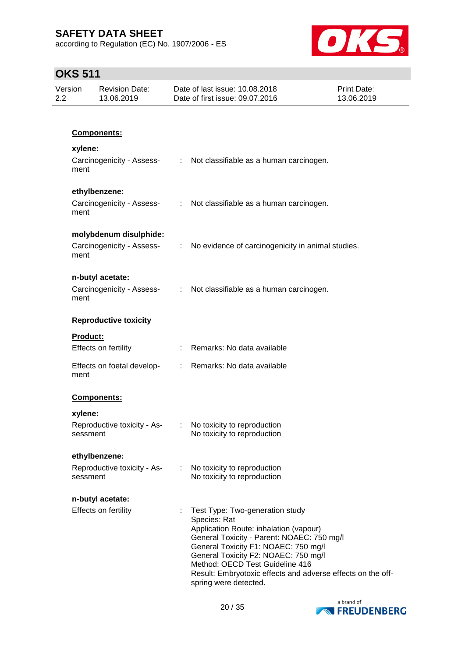according to Regulation (EC) No. 1907/2006 - ES



| Version<br>2.2 | <b>Revision Date:</b><br>13.06.2019     | Date of last issue: 10.08.2018<br>Date of first issue: 09.07.2016                                                                                                                                                                                                                                                                                  | Print Date:<br>13.06.2019 |
|----------------|-----------------------------------------|----------------------------------------------------------------------------------------------------------------------------------------------------------------------------------------------------------------------------------------------------------------------------------------------------------------------------------------------------|---------------------------|
|                |                                         |                                                                                                                                                                                                                                                                                                                                                    |                           |
|                | Components:                             |                                                                                                                                                                                                                                                                                                                                                    |                           |
|                | xylene:                                 |                                                                                                                                                                                                                                                                                                                                                    |                           |
| ment           |                                         | Carcinogenicity - Assess- : Not classifiable as a human carcinogen.                                                                                                                                                                                                                                                                                |                           |
|                | ethylbenzene:                           |                                                                                                                                                                                                                                                                                                                                                    |                           |
| ment           | Carcinogenicity - Assess-               | : Not classifiable as a human carcinogen.                                                                                                                                                                                                                                                                                                          |                           |
|                | molybdenum disulphide:                  |                                                                                                                                                                                                                                                                                                                                                    |                           |
| ment           | Carcinogenicity - Assess-               | : No evidence of carcinogenicity in animal studies.                                                                                                                                                                                                                                                                                                |                           |
|                | n-butyl acetate:                        |                                                                                                                                                                                                                                                                                                                                                    |                           |
| ment           | Carcinogenicity - Assess-               | : Not classifiable as a human carcinogen.                                                                                                                                                                                                                                                                                                          |                           |
|                | <b>Reproductive toxicity</b>            |                                                                                                                                                                                                                                                                                                                                                    |                           |
|                | Product:                                |                                                                                                                                                                                                                                                                                                                                                    |                           |
|                | Effects on fertility                    | : Remarks: No data available                                                                                                                                                                                                                                                                                                                       |                           |
| ment           | Effects on foetal develop-              | : Remarks: No data available                                                                                                                                                                                                                                                                                                                       |                           |
|                | Components:                             |                                                                                                                                                                                                                                                                                                                                                    |                           |
|                | xylene:                                 |                                                                                                                                                                                                                                                                                                                                                    |                           |
|                | Reproductive toxicity - As-<br>sessment | : No toxicity to reproduction<br>No toxicity to reproduction                                                                                                                                                                                                                                                                                       |                           |
|                | ethylbenzene:                           |                                                                                                                                                                                                                                                                                                                                                    |                           |
|                | Reproductive toxicity - As-<br>sessment | No toxicity to reproduction<br>No toxicity to reproduction                                                                                                                                                                                                                                                                                         |                           |
|                | n-butyl acetate:                        |                                                                                                                                                                                                                                                                                                                                                    |                           |
|                | Effects on fertility                    | Test Type: Two-generation study<br>Species: Rat<br>Application Route: inhalation (vapour)<br>General Toxicity - Parent: NOAEC: 750 mg/l<br>General Toxicity F1: NOAEC: 750 mg/l<br>General Toxicity F2: NOAEC: 750 mg/l<br>Method: OECD Test Guideline 416<br>Result: Embryotoxic effects and adverse effects on the off-<br>spring were detected. |                           |

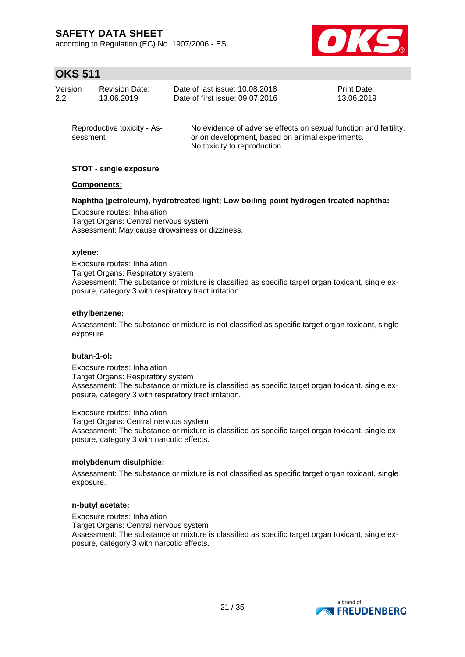according to Regulation (EC) No. 1907/2006 - ES



# **OKS 511**

| Version | <b>Revision Date:</b> | Date of last issue: 10.08.2018  | <b>Print Date:</b> |
|---------|-----------------------|---------------------------------|--------------------|
| 2.2     | 13.06.2019            | Date of first issue: 09.07.2016 | 13.06.2019         |
|         |                       |                                 |                    |

| Reproductive toxicity - As- | No evidence of adverse effects on sexual function and fertility, |
|-----------------------------|------------------------------------------------------------------|
| sessment                    | or on development, based on animal experiments.                  |
|                             | No toxicity to reproduction                                      |

## **STOT - single exposure**

### **Components:**

## **Naphtha (petroleum), hydrotreated light; Low boiling point hydrogen treated naphtha:**

Exposure routes: Inhalation Target Organs: Central nervous system Assessment: May cause drowsiness or dizziness.

### **xylene:**

Exposure routes: Inhalation Target Organs: Respiratory system Assessment: The substance or mixture is classified as specific target organ toxicant, single exposure, category 3 with respiratory tract irritation.

### **ethylbenzene:**

Assessment: The substance or mixture is not classified as specific target organ toxicant, single exposure.

### **butan-1-ol:**

Exposure routes: Inhalation Target Organs: Respiratory system Assessment: The substance or mixture is classified as specific target organ toxicant, single exposure, category 3 with respiratory tract irritation.

Exposure routes: Inhalation

Target Organs: Central nervous system Assessment: The substance or mixture is classified as specific target organ toxicant, single exposure, category 3 with narcotic effects.

### **molybdenum disulphide:**

Assessment: The substance or mixture is not classified as specific target organ toxicant, single exposure.

### **n-butyl acetate:**

Exposure routes: Inhalation Target Organs: Central nervous system Assessment: The substance or mixture is classified as specific target organ toxicant, single exposure, category 3 with narcotic effects.

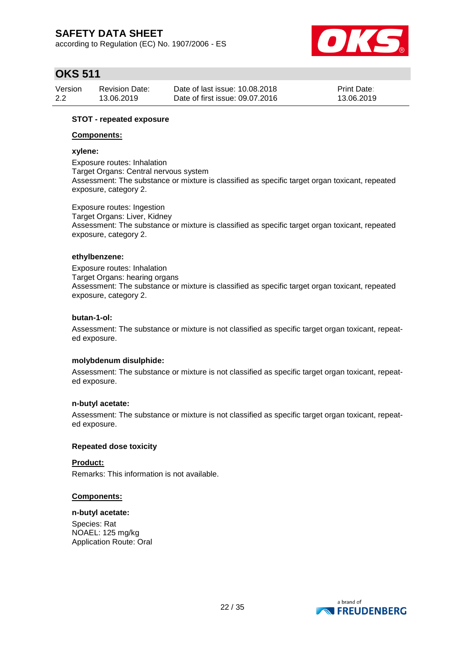according to Regulation (EC) No. 1907/2006 - ES



## **OKS 511**

| Version | <b>Revision Date:</b> | Date of last issue: 10.08.2018  | <b>Print Date:</b> |
|---------|-----------------------|---------------------------------|--------------------|
| 2.2     | 13.06.2019            | Date of first issue: 09.07.2016 | 13.06.2019         |

### **STOT - repeated exposure**

### **Components:**

### **xylene:**

Exposure routes: Inhalation Target Organs: Central nervous system Assessment: The substance or mixture is classified as specific target organ toxicant, repeated exposure, category 2.

Exposure routes: Ingestion Target Organs: Liver, Kidney Assessment: The substance or mixture is classified as specific target organ toxicant, repeated exposure, category 2.

### **ethylbenzene:**

Exposure routes: Inhalation Target Organs: hearing organs Assessment: The substance or mixture is classified as specific target organ toxicant, repeated exposure, category 2.

### **butan-1-ol:**

Assessment: The substance or mixture is not classified as specific target organ toxicant, repeated exposure.

### **molybdenum disulphide:**

Assessment: The substance or mixture is not classified as specific target organ toxicant, repeated exposure.

### **n-butyl acetate:**

Assessment: The substance or mixture is not classified as specific target organ toxicant, repeated exposure.

### **Repeated dose toxicity**

### **Product:**

Remarks: This information is not available.

### **Components:**

### **n-butyl acetate:**

Species: Rat NOAEL: 125 mg/kg Application Route: Oral

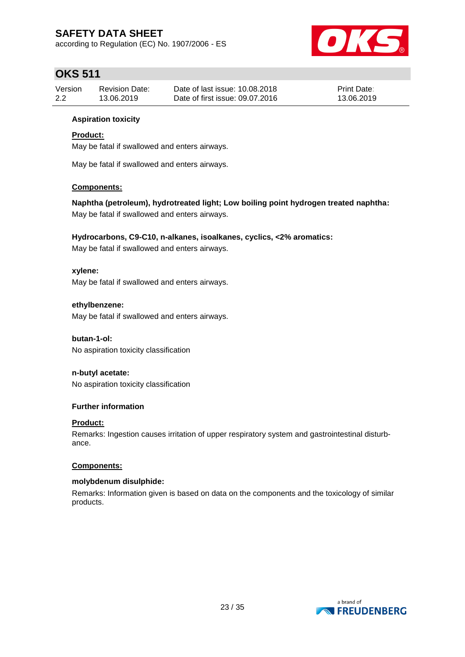according to Regulation (EC) No. 1907/2006 - ES



# **OKS 511**

| Version | <b>Revision Date:</b> | Date of last issue: 10.08.2018  | <b>Print Date:</b> |
|---------|-----------------------|---------------------------------|--------------------|
| 2.2     | 13.06.2019            | Date of first issue: 09.07.2016 | 13.06.2019         |

## **Aspiration toxicity**

## **Product:**

May be fatal if swallowed and enters airways.

May be fatal if swallowed and enters airways.

### **Components:**

**Naphtha (petroleum), hydrotreated light; Low boiling point hydrogen treated naphtha:** May be fatal if swallowed and enters airways.

### **Hydrocarbons, C9-C10, n-alkanes, isoalkanes, cyclics, <2% aromatics:**

May be fatal if swallowed and enters airways.

### **xylene:**

May be fatal if swallowed and enters airways.

## **ethylbenzene:**

May be fatal if swallowed and enters airways.

### **butan-1-ol:**

No aspiration toxicity classification

## **n-butyl acetate:**

No aspiration toxicity classification

### **Further information**

### **Product:**

Remarks: Ingestion causes irritation of upper respiratory system and gastrointestinal disturbance.

### **Components:**

### **molybdenum disulphide:**

Remarks: Information given is based on data on the components and the toxicology of similar products.

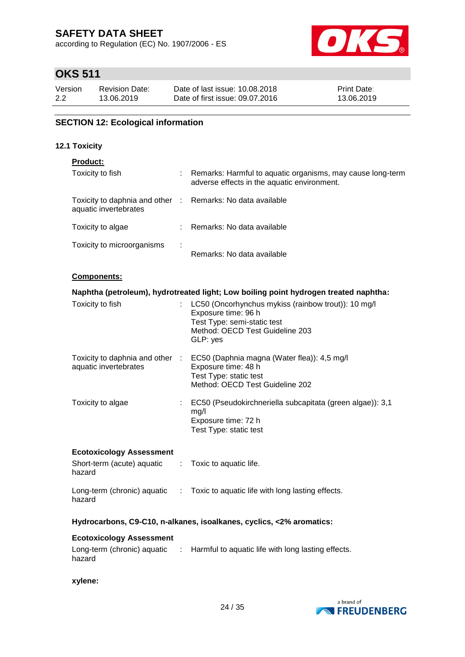according to Regulation (EC) No. 1907/2006 - ES



# **OKS 511**

| Version | <b>Revision Date:</b> | Date of last issue: 10.08.2018  | <b>Print Date:</b> |
|---------|-----------------------|---------------------------------|--------------------|
| 2.2     | 13.06.2019            | Date of first issue: 09.07.2016 | 13.06.2019         |

## **SECTION 12: Ecological information**

### **12.1 Toxicity**

## **Product:**

| Toxicity to fish                                         | ÷ | Remarks: Harmful to aquatic organisms, may cause long-term<br>adverse effects in the aquatic environment. |
|----------------------------------------------------------|---|-----------------------------------------------------------------------------------------------------------|
| Toxicity to daphnia and other :<br>aquatic invertebrates |   | Remarks: No data available                                                                                |
| Toxicity to algae                                        |   | Remarks: No data available                                                                                |
| Toxicity to microorganisms                               | ÷ | Remarks: No data available                                                                                |

### **Components:**

|                                                                                                  | Naphtha (petroleum), hydrotreated light; Low boiling point hydrogen treated naphtha:                                                                       |
|--------------------------------------------------------------------------------------------------|------------------------------------------------------------------------------------------------------------------------------------------------------------|
| Toxicity to fish                                                                                 | : LC50 (Oncorhynchus mykiss (rainbow trout)): 10 mg/l<br>Exposure time: 96 h<br>Test Type: semi-static test<br>Method: OECD Test Guideline 203<br>GLP: yes |
| Toxicity to daphnia and other :<br>aquatic invertebrates                                         | EC50 (Daphnia magna (Water flea)): 4,5 mg/l<br>Exposure time: 48 h<br>Test Type: static test<br>Method: OECD Test Guideline 202                            |
| Toxicity to algae                                                                                | EC50 (Pseudokirchneriella subcapitata (green algae)): 3,1<br>mq/l<br>Exposure time: 72 h<br>Test Type: static test                                         |
| <b>Ecotoxicology Assessment</b><br>Short-term (acute) aquatic : Toxic to aquatic life.<br>hazard |                                                                                                                                                            |

# hazard

Long-term (chronic) aquatic : Toxic to aquatic life with long lasting effects.

## **Hydrocarbons, C9-C10, n-alkanes, isoalkanes, cyclics, <2% aromatics:**

### **Ecotoxicology Assessment**

| Long-term (chronic) aquatic | : Harmful to aquatic life with long lasting effects. |
|-----------------------------|------------------------------------------------------|
| hazard                      |                                                      |

**xylene:**

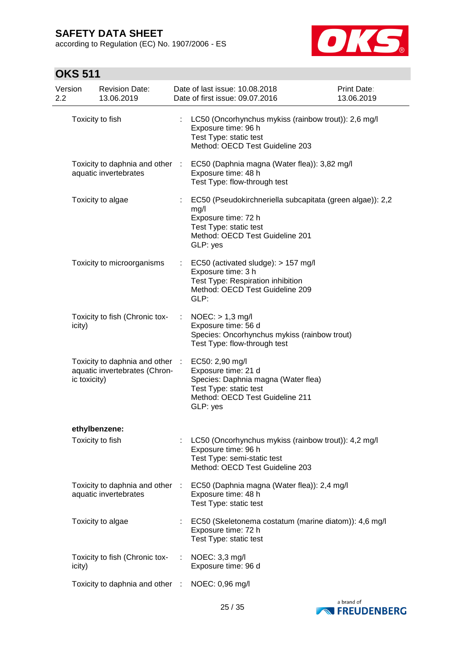according to Regulation (EC) No. 1907/2006 - ES



| Version<br>2.2 | <b>Revision Date:</b><br>13.06.2019                              |                | Date of last issue: 10.08.2018<br>Date of first issue: 09.07.2016                                                                                                 | <b>Print Date:</b><br>13.06.2019 |
|----------------|------------------------------------------------------------------|----------------|-------------------------------------------------------------------------------------------------------------------------------------------------------------------|----------------------------------|
|                | Toxicity to fish                                                 | ÷.             | LC50 (Oncorhynchus mykiss (rainbow trout)): 2,6 mg/l<br>Exposure time: 96 h<br>Test Type: static test<br>Method: OECD Test Guideline 203                          |                                  |
|                | Toxicity to daphnia and other :<br>aquatic invertebrates         |                | EC50 (Daphnia magna (Water flea)): 3,82 mg/l<br>Exposure time: 48 h<br>Test Type: flow-through test                                                               |                                  |
|                | Toxicity to algae                                                |                | EC50 (Pseudokirchneriella subcapitata (green algae)): 2,2<br>mg/l<br>Exposure time: 72 h<br>Test Type: static test<br>Method: OECD Test Guideline 201<br>GLP: yes |                                  |
|                | Toxicity to microorganisms                                       | t.             | EC50 (activated sludge): > 157 mg/l<br>Exposure time: 3 h<br>Test Type: Respiration inhibition<br>Method: OECD Test Guideline 209<br>GLP:                         |                                  |
| icity)         | Toxicity to fish (Chronic tox-                                   | $\mathbb{Z}^n$ | $NOEC:$ > 1,3 mg/l<br>Exposure time: 56 d<br>Species: Oncorhynchus mykiss (rainbow trout)<br>Test Type: flow-through test                                         |                                  |
| ic toxicity)   | Toxicity to daphnia and other :<br>aquatic invertebrates (Chron- |                | EC50: 2,90 mg/l<br>Exposure time: 21 d<br>Species: Daphnia magna (Water flea)<br>Test Type: static test<br>Method: OECD Test Guideline 211<br>GLP: yes            |                                  |
|                | ethylbenzene:                                                    |                |                                                                                                                                                                   |                                  |
|                | Toxicity to fish                                                 |                | LC50 (Oncorhynchus mykiss (rainbow trout)): 4,2 mg/l<br>Exposure time: 96 h<br>Test Type: semi-static test<br>Method: OECD Test Guideline 203                     |                                  |
|                | Toxicity to daphnia and other<br>aquatic invertebrates           | - 11           | EC50 (Daphnia magna (Water flea)): 2,4 mg/l<br>Exposure time: 48 h<br>Test Type: static test                                                                      |                                  |
|                | Toxicity to algae                                                |                | EC50 (Skeletonema costatum (marine diatom)): 4,6 mg/l<br>Exposure time: 72 h<br>Test Type: static test                                                            |                                  |
| icity)         | Toxicity to fish (Chronic tox-                                   |                | NOEC: 3,3 mg/l<br>Exposure time: 96 d                                                                                                                             |                                  |
|                | Toxicity to daphnia and other                                    | -11            | NOEC: 0,96 mg/l                                                                                                                                                   |                                  |

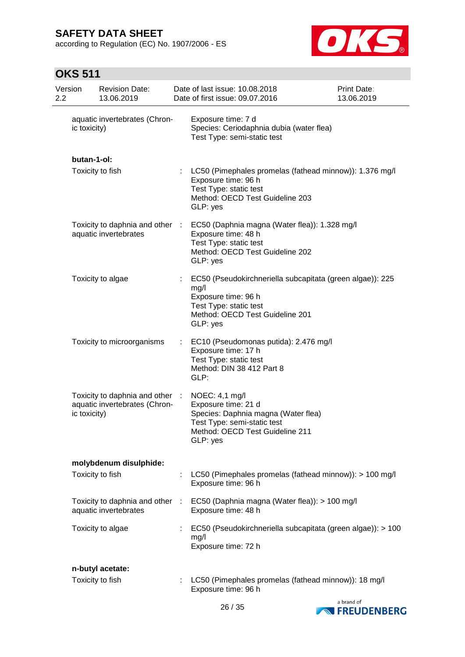according to Regulation (EC) No. 1907/2006 - ES



| Version<br>2.2 |              | <b>Revision Date:</b><br>13.06.2019                            |    | Date of last issue: 10.08.2018<br>Date of first issue: 09.07.2016                                                                                                 | Print Date:<br>13.06.2019 |
|----------------|--------------|----------------------------------------------------------------|----|-------------------------------------------------------------------------------------------------------------------------------------------------------------------|---------------------------|
|                | ic toxicity) | aquatic invertebrates (Chron-                                  |    | Exposure time: 7 d<br>Species: Ceriodaphnia dubia (water flea)<br>Test Type: semi-static test                                                                     |                           |
|                | butan-1-ol:  |                                                                |    |                                                                                                                                                                   |                           |
|                |              | Toxicity to fish                                               |    | LC50 (Pimephales promelas (fathead minnow)): 1.376 mg/l<br>Exposure time: 96 h<br>Test Type: static test<br>Method: OECD Test Guideline 203<br>GLP: yes           |                           |
|                |              | Toxicity to daphnia and other :<br>aquatic invertebrates       |    | EC50 (Daphnia magna (Water flea)): 1.328 mg/l<br>Exposure time: 48 h<br>Test Type: static test<br>Method: OECD Test Guideline 202<br>GLP: yes                     |                           |
|                |              | Toxicity to algae                                              | ÷. | EC50 (Pseudokirchneriella subcapitata (green algae)): 225<br>mg/l<br>Exposure time: 96 h<br>Test Type: static test<br>Method: OECD Test Guideline 201<br>GLP: yes |                           |
|                |              | Toxicity to microorganisms                                     |    | EC10 (Pseudomonas putida): 2.476 mg/l<br>Exposure time: 17 h<br>Test Type: static test<br>Method: DIN 38 412 Part 8<br>GLP:                                       |                           |
|                | ic toxicity) | Toxicity to daphnia and other<br>aquatic invertebrates (Chron- | ÷  | NOEC: 4,1 mg/l<br>Exposure time: 21 d<br>Species: Daphnia magna (Water flea)<br>Test Type: semi-static test<br>Method: OECD Test Guideline 211<br>GLP: yes        |                           |
|                |              | molybdenum disulphide:                                         |    |                                                                                                                                                                   |                           |
|                |              | Toxicity to fish                                               |    | LC50 (Pimephales promelas (fathead minnow)): > 100 mg/l<br>Exposure time: 96 h                                                                                    |                           |
|                |              | Toxicity to daphnia and other<br>aquatic invertebrates         | ÷  | EC50 (Daphnia magna (Water flea)): > 100 mg/l<br>Exposure time: 48 h                                                                                              |                           |
|                |              | Toxicity to algae                                              |    | EC50 (Pseudokirchneriella subcapitata (green algae)): > 100<br>mg/l<br>Exposure time: 72 h                                                                        |                           |
|                |              | n-butyl acetate:                                               |    |                                                                                                                                                                   |                           |
|                |              | Toxicity to fish                                               |    | LC50 (Pimephales promelas (fathead minnow)): 18 mg/l<br>Exposure time: 96 h                                                                                       |                           |

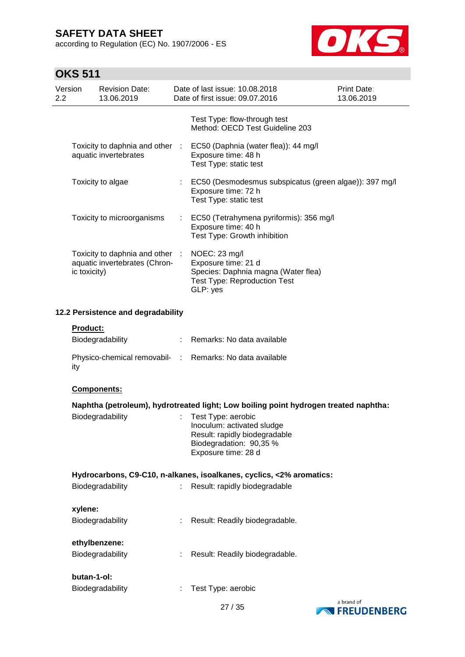according to Regulation (EC) No. 1907/2006 - ES



| Version<br>2.2 |              | <b>Revision Date:</b><br>13.06.2019                              | Date of last issue: 10.08.2018<br>Date of first issue: 09.07.2016                                                                   | <b>Print Date:</b><br>13.06.2019 |
|----------------|--------------|------------------------------------------------------------------|-------------------------------------------------------------------------------------------------------------------------------------|----------------------------------|
|                |              |                                                                  | Test Type: flow-through test<br>Method: OECD Test Guideline 203                                                                     |                                  |
|                |              | aquatic invertebrates                                            | Toxicity to daphnia and other : EC50 (Daphnia (water flea)): 44 mg/l<br>Exposure time: 48 h<br>Test Type: static test               |                                  |
|                |              | Toxicity to algae                                                | : EC50 (Desmodesmus subspicatus (green algae)): 397 mg/l<br>Exposure time: 72 h<br>Test Type: static test                           |                                  |
|                |              | Toxicity to microorganisms                                       | : EC50 (Tetrahymena pyriformis): 356 mg/l<br>Exposure time: 40 h<br>Test Type: Growth inhibition                                    |                                  |
|                | ic toxicity) | Toxicity to daphnia and other :<br>aquatic invertebrates (Chron- | NOEC: 23 mg/l<br>Exposure time: 21 d<br>Species: Daphnia magna (Water flea)<br><b>Test Type: Reproduction Test</b><br>GLP: yes      |                                  |
|                |              | 12.2 Persistence and degradability                               |                                                                                                                                     |                                  |
|                | Product:     | Biodegradability                                                 | : Remarks: No data available                                                                                                        |                                  |
|                | ity          |                                                                  | Physico-chemical removabil- : Remarks: No data available                                                                            |                                  |
|                | Components:  |                                                                  |                                                                                                                                     |                                  |
|                |              |                                                                  | Naphtha (petroleum), hydrotreated light; Low boiling point hydrogen treated naphtha:                                                |                                  |
|                |              | Biodegradability                                                 | Test Type: aerobic<br>Inoculum: activated sludge<br>Result: rapidly biodegradable<br>Biodegradation: 90,35 %<br>Exposure time: 28 d |                                  |
|                |              |                                                                  | Hydrocarbons, C9-C10, n-alkanes, isoalkanes, cyclics, <2% aromatics:                                                                |                                  |
|                |              | Biodegradability                                                 | Result: rapidly biodegradable                                                                                                       |                                  |
|                | xylene:      |                                                                  |                                                                                                                                     |                                  |
|                |              | Biodegradability                                                 | Result: Readily biodegradable.                                                                                                      |                                  |
|                |              | ethylbenzene:<br>Biodegradability                                | Result: Readily biodegradable.                                                                                                      |                                  |
|                | butan-1-ol:  |                                                                  |                                                                                                                                     |                                  |
|                |              | Biodegradability                                                 | Test Type: aerobic                                                                                                                  |                                  |



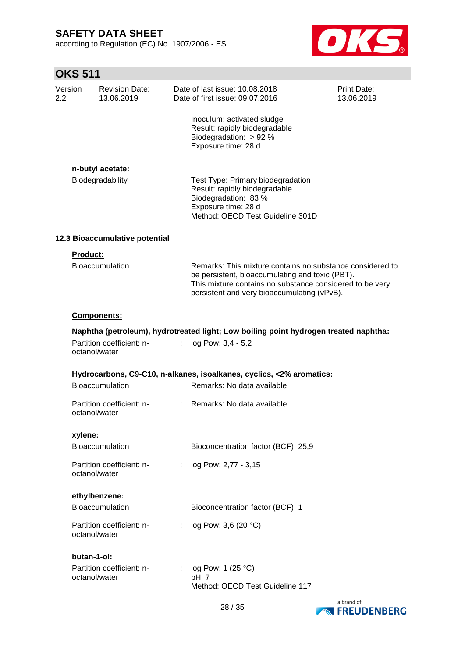according to Regulation (EC) No. 1907/2006 - ES



| Version<br>2.2 |               | <b>Revision Date:</b><br>13.06.2019 |                           | Date of last issue: 10.08.2018<br>Date of first issue: 09.07.2016                                                                                                                                                       | Print Date:<br>13.06.2019 |
|----------------|---------------|-------------------------------------|---------------------------|-------------------------------------------------------------------------------------------------------------------------------------------------------------------------------------------------------------------------|---------------------------|
|                |               |                                     |                           | Inoculum: activated sludge<br>Result: rapidly biodegradable<br>Biodegradation: $> 92 %$<br>Exposure time: 28 d                                                                                                          |                           |
|                |               | n-butyl acetate:                    |                           |                                                                                                                                                                                                                         |                           |
|                |               | Biodegradability                    | $\mathbb{R}^{\mathbb{Z}}$ | Test Type: Primary biodegradation<br>Result: rapidly biodegradable<br>Biodegradation: 83 %<br>Exposure time: 28 d<br>Method: OECD Test Guideline 301D                                                                   |                           |
|                |               | 12.3 Bioaccumulative potential      |                           |                                                                                                                                                                                                                         |                           |
|                | Product:      |                                     |                           |                                                                                                                                                                                                                         |                           |
|                |               | <b>Bioaccumulation</b>              |                           | Remarks: This mixture contains no substance considered to<br>be persistent, bioaccumulating and toxic (PBT).<br>This mixture contains no substance considered to be very<br>persistent and very bioaccumulating (vPvB). |                           |
|                |               | <b>Components:</b>                  |                           |                                                                                                                                                                                                                         |                           |
|                | octanol/water | Partition coefficient: n-           | ÷.                        | Naphtha (petroleum), hydrotreated light; Low boiling point hydrogen treated naphtha:<br>log Pow: 3,4 - 5,2                                                                                                              |                           |
|                |               |                                     |                           |                                                                                                                                                                                                                         |                           |
|                |               | <b>Bioaccumulation</b>              | t.                        | Hydrocarbons, C9-C10, n-alkanes, isoalkanes, cyclics, <2% aromatics:<br>Remarks: No data available                                                                                                                      |                           |
|                | octanol/water | Partition coefficient: n-           | t.                        | Remarks: No data available                                                                                                                                                                                              |                           |
|                | xylene:       |                                     |                           |                                                                                                                                                                                                                         |                           |
|                |               | Bioaccumulation                     |                           | Bioconcentration factor (BCF): 25,9                                                                                                                                                                                     |                           |
|                | octanol/water | Partition coefficient: n-           | ÷                         | log Pow: 2,77 - 3,15                                                                                                                                                                                                    |                           |
|                |               | ethylbenzene:                       |                           |                                                                                                                                                                                                                         |                           |
|                |               | <b>Bioaccumulation</b>              | ÷.                        | Bioconcentration factor (BCF): 1                                                                                                                                                                                        |                           |
|                | octanol/water | Partition coefficient: n-           |                           | log Pow: 3,6 (20 °C)                                                                                                                                                                                                    |                           |
|                | butan-1-ol:   |                                     |                           |                                                                                                                                                                                                                         |                           |
|                | octanol/water | Partition coefficient: n-           |                           | log Pow: 1 $(25 °C)$<br>pH: 7<br>Method: OECD Test Guideline 117                                                                                                                                                        |                           |

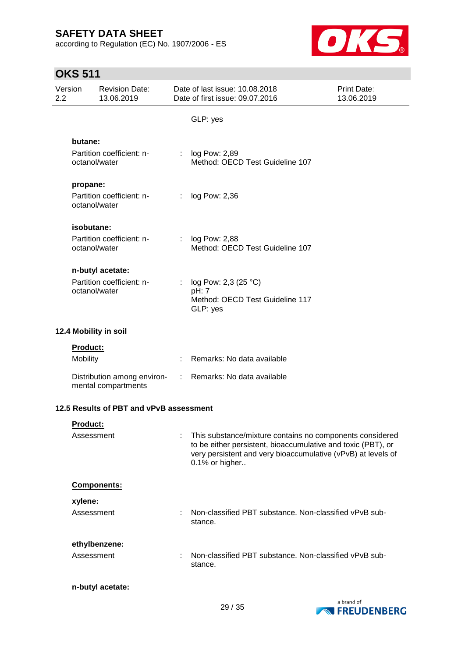according to Regulation (EC) No. 1907/2006 - ES



| Version<br>$2.2\phantom{0}$ |                 | <b>Revision Date:</b><br>13.06.2019                |    | Date of last issue: 10.08.2018<br>Date of first issue: 09.07.2016                                                                                                                                          | Print Date:<br>13.06.2019 |
|-----------------------------|-----------------|----------------------------------------------------|----|------------------------------------------------------------------------------------------------------------------------------------------------------------------------------------------------------------|---------------------------|
|                             |                 |                                                    |    | GLP: yes                                                                                                                                                                                                   |                           |
|                             | butane:         |                                                    |    |                                                                                                                                                                                                            |                           |
|                             | octanol/water   | Partition coefficient: n-                          | t. | log Pow: 2,89<br>Method: OECD Test Guideline 107                                                                                                                                                           |                           |
|                             | propane:        |                                                    |    |                                                                                                                                                                                                            |                           |
|                             | octanol/water   | Partition coefficient: n-                          |    | log Pow: 2,36                                                                                                                                                                                              |                           |
|                             | isobutane:      |                                                    |    |                                                                                                                                                                                                            |                           |
|                             | octanol/water   | Partition coefficient: n-                          |    | : log Pow: 2,88<br>Method: OECD Test Guideline 107                                                                                                                                                         |                           |
|                             |                 | n-butyl acetate:                                   |    |                                                                                                                                                                                                            |                           |
|                             | octanol/water   | Partition coefficient: n-                          | ÷. | log Pow: 2,3 (25 °C)<br>pH: 7<br>Method: OECD Test Guideline 117<br>GLP: yes                                                                                                                               |                           |
|                             |                 | 12.4 Mobility in soil                              |    |                                                                                                                                                                                                            |                           |
|                             | <b>Product:</b> |                                                    |    |                                                                                                                                                                                                            |                           |
|                             | Mobility        |                                                    |    | Remarks: No data available                                                                                                                                                                                 |                           |
|                             |                 | Distribution among environ-<br>mental compartments |    | : Remarks: No data available                                                                                                                                                                               |                           |
|                             |                 | 12.5 Results of PBT and vPvB assessment            |    |                                                                                                                                                                                                            |                           |
|                             | <b>Product:</b> |                                                    |    |                                                                                                                                                                                                            |                           |
|                             | Assessment      |                                                    |    | This substance/mixture contains no components considered<br>to be either persistent, bioaccumulative and toxic (PBT), or<br>very persistent and very bioaccumulative (vPvB) at levels of<br>0.1% or higher |                           |
|                             |                 | Components:                                        |    |                                                                                                                                                                                                            |                           |
|                             | xylene:         |                                                    |    |                                                                                                                                                                                                            |                           |
|                             | Assessment      |                                                    |    | Non-classified PBT substance. Non-classified vPvB sub-<br>stance.                                                                                                                                          |                           |
|                             |                 | ethylbenzene:                                      |    |                                                                                                                                                                                                            |                           |
|                             | Assessment      |                                                    |    | Non-classified PBT substance. Non-classified vPvB sub-<br>stance.                                                                                                                                          |                           |
|                             |                 | n-butyl acetate:                                   |    |                                                                                                                                                                                                            |                           |

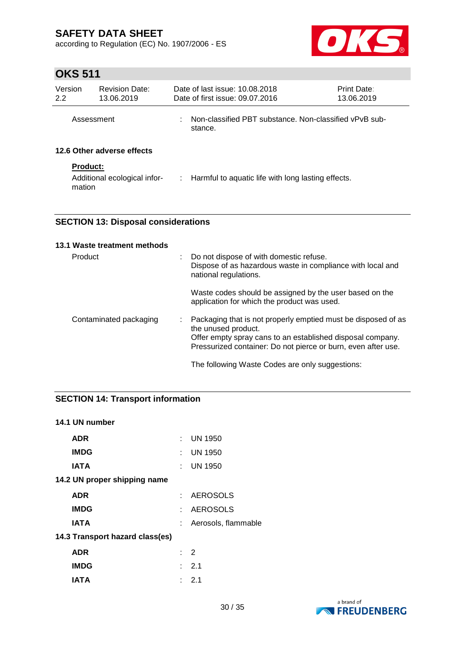according to Regulation (EC) No. 1907/2006 - ES



# **OKS 511**

| Version<br>2.2             | <b>Revision Date:</b><br>13.06.2019 | Date of last issue: 10.08.2018<br>Date of first issue: 09.07.2016 | <b>Print Date:</b><br>13.06.2019                                  |  |
|----------------------------|-------------------------------------|-------------------------------------------------------------------|-------------------------------------------------------------------|--|
|                            | Assessment                          | ÷                                                                 | -Non-classified PBT substance. Non-classified vPvB sub<br>stance. |  |
| 12.6 Other adverse effects |                                     |                                                                   |                                                                   |  |
| <b>Product:</b>            |                                     |                                                                   |                                                                   |  |
| mation                     | Additional ecological infor-        |                                                                   | $\therefore$ Harmful to aquatic life with long lasting effects.   |  |

## **SECTION 13: Disposal considerations**

| 13.1 Waste treatment methods |   |                                                                                                                                                                                                                     |
|------------------------------|---|---------------------------------------------------------------------------------------------------------------------------------------------------------------------------------------------------------------------|
| Product                      | ÷ | Do not dispose of with domestic refuse.<br>Dispose of as hazardous waste in compliance with local and<br>national regulations.                                                                                      |
|                              |   | Waste codes should be assigned by the user based on the<br>application for which the product was used.                                                                                                              |
| Contaminated packaging       | ÷ | Packaging that is not properly emptied must be disposed of as<br>the unused product.<br>Offer empty spray cans to an established disposal company.<br>Pressurized container: Do not pierce or burn, even after use. |
|                              |   | The following Waste Codes are only suggestions:                                                                                                                                                                     |

## **SECTION 14: Transport information**

### **14.1 UN number**

| ADR                             |    | $:$ UN 1950          |
|---------------------------------|----|----------------------|
| <b>IMDG</b>                     |    | $\therefore$ UN 1950 |
| <b>IATA</b>                     |    | $\therefore$ UN 1950 |
| 14.2 UN proper shipping name    |    |                      |
| <b>ADR</b>                      |    | : AEROSOLS           |
| <b>IMDG</b>                     |    | : AEROSOLS           |
| <b>IATA</b>                     | t. | Aerosols, flammable  |
| 14.3 Transport hazard class(es) |    |                      |
| <b>ADR</b>                      |    | $\cdot$ 2            |
| <b>IMDG</b>                     |    | : 2.1                |
| IATA                            | ÷. | $-2.1$               |

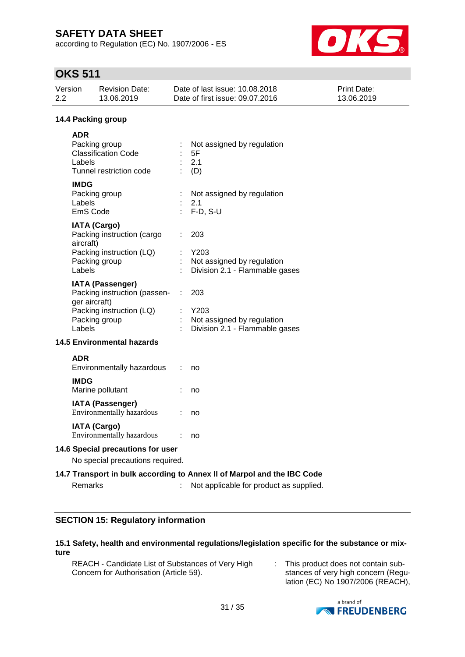according to Regulation (EC) No. 1907/2006 - ES



# **OKS 511**

| 2.2 | Version                           | <b>Revision Date:</b><br>13.06.2019                                                                  |                             | Date of last issue: 10.08.2018<br>Date of first issue: 09.07.2016                                                  | Print Date:<br>13.06.2019 |  |  |
|-----|-----------------------------------|------------------------------------------------------------------------------------------------------|-----------------------------|--------------------------------------------------------------------------------------------------------------------|---------------------------|--|--|
|     | 14.4 Packing group                |                                                                                                      |                             |                                                                                                                    |                           |  |  |
|     | <b>ADR</b><br>Labels              | Packing group<br><b>Classification Code</b><br>Tunnel restriction code                               |                             | Not assigned by regulation<br>5F<br>2.1<br>(D)                                                                     |                           |  |  |
|     | <b>IMDG</b><br>Labels<br>EmS Code | Packing group                                                                                        |                             | Not assigned by regulation<br>2.1<br>$F-D, S-U$                                                                    |                           |  |  |
|     | aircraft)<br>Labels               | <b>IATA (Cargo)</b><br>Packing instruction (cargo<br>Packing instruction (LQ)<br>Packing group       |                             | 203<br>Y203<br>Not assigned by regulation<br>Division 2.1 - Flammable gases                                        |                           |  |  |
|     | ger aircraft)<br>Labels           | <b>IATA (Passenger)</b><br>Packing instruction (passen-<br>Packing instruction (LQ)<br>Packing group | $\mathcal{L}^{\mathcal{L}}$ | 203<br>Y203<br>Not assigned by regulation<br>Division 2.1 - Flammable gases                                        |                           |  |  |
|     |                                   | <b>14.5 Environmental hazards</b>                                                                    |                             |                                                                                                                    |                           |  |  |
|     | <b>ADR</b>                        | Environmentally hazardous                                                                            |                             | no                                                                                                                 |                           |  |  |
|     | <b>IMDG</b>                       | Marine pollutant                                                                                     |                             | no                                                                                                                 |                           |  |  |
|     |                                   | <b>IATA (Passenger)</b><br>Environmentally hazardous                                                 |                             | no                                                                                                                 |                           |  |  |
|     |                                   | <b>IATA (Cargo)</b><br>Environmentally hazardous                                                     |                             | no                                                                                                                 |                           |  |  |
|     | 14.6 Special precautions for user |                                                                                                      |                             |                                                                                                                    |                           |  |  |
|     |                                   | No special precautions required.                                                                     |                             |                                                                                                                    |                           |  |  |
|     | Remarks                           |                                                                                                      |                             | 14.7 Transport in bulk according to Annex II of Marpol and the IBC Code<br>Not applicable for product as supplied. |                           |  |  |

## **SECTION 15: Regulatory information**

## **15.1 Safety, health and environmental regulations/legislation specific for the substance or mixture**

REACH - Candidate List of Substances of Very High Concern for Authorisation (Article 59).

: This product does not contain substances of very high concern (Regulation (EC) No 1907/2006 (REACH),

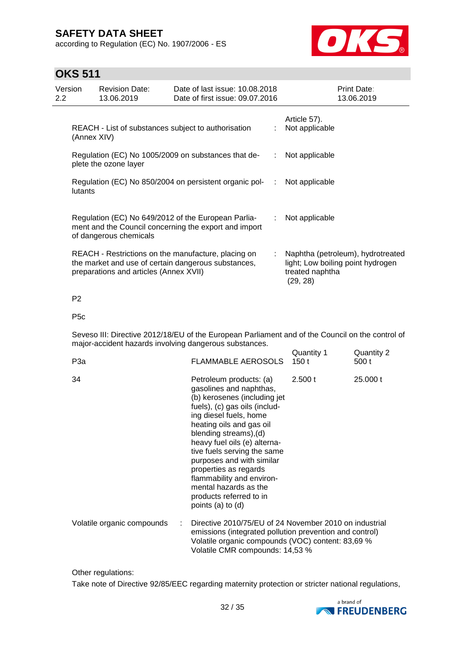according to Regulation (EC) No. 1907/2006 - ES



## **OKS 511**

| Version<br>$2.2^{\circ}$ |             | <b>Revision Date:</b><br>13.06.2019    | Date of last issue: 10.08.2018<br>Date of first issue: 09.07.2016                                            |    | Print Date:<br>13.06.2019                                                                             |
|--------------------------|-------------|----------------------------------------|--------------------------------------------------------------------------------------------------------------|----|-------------------------------------------------------------------------------------------------------|
|                          | (Annex XIV) |                                        | REACH - List of substances subject to authorisation                                                          |    | Article 57).<br>Not applicable                                                                        |
|                          |             | plete the ozone layer                  | Regulation (EC) No 1005/2009 on substances that de-                                                          |    | Not applicable                                                                                        |
|                          | lutants     |                                        | Regulation (EC) No 850/2004 on persistent organic pol-                                                       |    | Not applicable                                                                                        |
|                          |             | of dangerous chemicals                 | Regulation (EC) No 649/2012 of the European Parlia-<br>ment and the Council concerning the export and import |    | Not applicable                                                                                        |
|                          |             | preparations and articles (Annex XVII) | REACH - Restrictions on the manufacture, placing on<br>the market and use of certain dangerous substances,   | ÷. | Naphtha (petroleum), hydrotreated<br>light; Low boiling point hydrogen<br>treated naphtha<br>(29, 28) |

### P2

### P5c

Seveso III: Directive 2012/18/EU of the European Parliament and of the Council on the control of major-accident hazards involving dangerous substances.  $Quantity 1$  Quantity 2

| P3a                        | <b>FLAMMABLE AEROSOLS</b>                                                                                                                                                                                                                                                                                                                                                                                                                | Qualitity I<br>150 t | Quantity 2<br>500 t |
|----------------------------|------------------------------------------------------------------------------------------------------------------------------------------------------------------------------------------------------------------------------------------------------------------------------------------------------------------------------------------------------------------------------------------------------------------------------------------|----------------------|---------------------|
| 34                         | Petroleum products: (a)<br>2.500 t<br>gasolines and naphthas,<br>(b) kerosenes (including jet<br>fuels), (c) gas oils (includ-<br>ing diesel fuels, home<br>heating oils and gas oil<br>blending streams),(d)<br>heavy fuel oils (e) alterna-<br>tive fuels serving the same<br>purposes and with similar<br>properties as regards<br>flammability and environ-<br>mental hazards as the<br>products referred to in<br>points (a) to (d) |                      | 25.000 t            |
| Volatile organic compounds | Directive 2010/75/EU of 24 November 2010 on industrial<br>emissions (integrated pollution prevention and control)<br>Volatile organic compounds (VOC) content: 83,69 %<br>Volatile CMR compounds: 14,53 %                                                                                                                                                                                                                                |                      |                     |

Other regulations:

Take note of Directive 92/85/EEC regarding maternity protection or stricter national regulations,

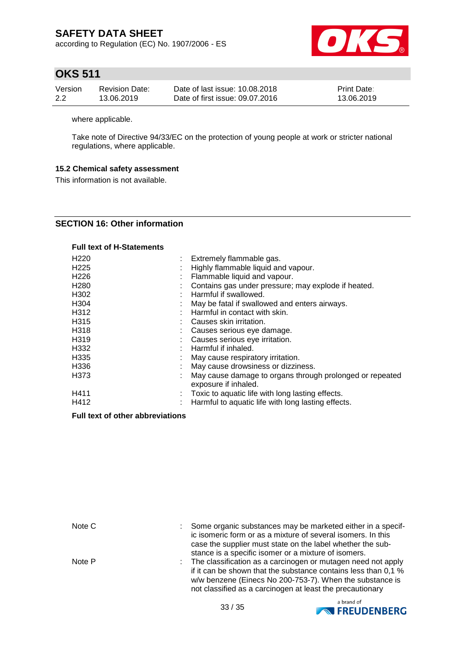according to Regulation (EC) No. 1907/2006 - ES



# **OKS 511**

| Version | <b>Revision Date:</b> | Date of last issue: 10.08.2018  | <b>Print Date:</b> |
|---------|-----------------------|---------------------------------|--------------------|
| 2.2     | 13.06.2019            | Date of first issue: 09.07.2016 | 13.06.2019         |

where applicable.

Take note of Directive 94/33/EC on the protection of young people at work or stricter national regulations, where applicable.

## **15.2 Chemical safety assessment**

This information is not available.

## **SECTION 16: Other information**

| <b>Full text of H-Statements</b> |
|----------------------------------|
|----------------------------------|

| H <sub>220</sub> | Extremely flammable gas.                                                         |
|------------------|----------------------------------------------------------------------------------|
| H <sub>225</sub> | Highly flammable liquid and vapour.                                              |
| H <sub>226</sub> | Flammable liquid and vapour.                                                     |
| H <sub>280</sub> | Contains gas under pressure; may explode if heated.                              |
| H <sub>302</sub> | Harmful if swallowed.                                                            |
| H304             | May be fatal if swallowed and enters airways.                                    |
| H312             | Harmful in contact with skin.                                                    |
| H <sub>315</sub> | Causes skin irritation.                                                          |
| H318             | Causes serious eye damage.                                                       |
| H319             | Causes serious eye irritation.                                                   |
| H332             | Harmful if inhaled.                                                              |
| H <sub>335</sub> | May cause respiratory irritation.                                                |
| H336             | May cause drowsiness or dizziness.                                               |
| H373             | May cause damage to organs through prolonged or repeated<br>exposure if inhaled. |
| H411             | Toxic to aquatic life with long lasting effects.                                 |
| H412             | Harmful to aquatic life with long lasting effects.                               |

## **Full text of other abbreviations**

| Note C | Some organic substances may be marketed either in a specif-<br>ic isomeric form or as a mixture of several isomers. In this<br>case the supplier must state on the label whether the sub-<br>stance is a specific isomer or a mixture of isomers.         |
|--------|-----------------------------------------------------------------------------------------------------------------------------------------------------------------------------------------------------------------------------------------------------------|
| Note P | : The classification as a carcinogen or mutagen need not apply<br>if it can be shown that the substance contains less than 0.1 %<br>w/w benzene (Einecs No 200-753-7). When the substance is<br>not classified as a carcinogen at least the precautionary |

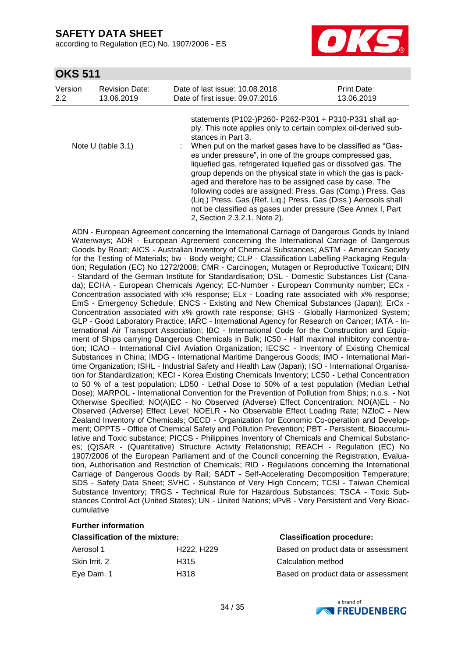according to Regulation (EC) No. 1907/2006 - ES



## **OKS 511**

| Version | <b>Revision Date:</b> | Date of last issue: 10.08.2018                                                                                                                                            | <b>Print Date:</b>                                                                                                                                                                                                                                                                                                                                                                                                                                                                                                                |
|---------|-----------------------|---------------------------------------------------------------------------------------------------------------------------------------------------------------------------|-----------------------------------------------------------------------------------------------------------------------------------------------------------------------------------------------------------------------------------------------------------------------------------------------------------------------------------------------------------------------------------------------------------------------------------------------------------------------------------------------------------------------------------|
| 2.2     | 13.06.2019            | Date of first issue: 09.07.2016                                                                                                                                           | 13.06.2019                                                                                                                                                                                                                                                                                                                                                                                                                                                                                                                        |
|         | Note U (table $3.1$ ) | stances in Part 3.<br>es under pressure", in one of the groups compressed gas,<br>aged and therefore has to be assigned case by case. The<br>2, Section 2.3.2.1, Note 2). | statements (P102-)P260- P262-P301 + P310-P331 shall ap-<br>ply. This note applies only to certain complex oil-derived sub-<br>: When put on the market gases have to be classified as "Gas-<br>liquefied gas, refrigerated liquefied gas or dissolved gas. The<br>group depends on the physical state in which the gas is pack-<br>following codes are assigned: Press. Gas (Comp.) Press. Gas<br>(Liq.) Press. Gas (Ref. Liq.) Press. Gas (Diss.) Aerosols shall<br>not be classified as gases under pressure (See Annex I, Part |

ADN - European Agreement concerning the International Carriage of Dangerous Goods by Inland Waterways; ADR - European Agreement concerning the International Carriage of Dangerous Goods by Road; AICS - Australian Inventory of Chemical Substances; ASTM - American Society for the Testing of Materials; bw - Body weight; CLP - Classification Labelling Packaging Regulation; Regulation (EC) No 1272/2008; CMR - Carcinogen, Mutagen or Reproductive Toxicant; DIN - Standard of the German Institute for Standardisation; DSL - Domestic Substances List (Canada); ECHA - European Chemicals Agency; EC-Number - European Community number; ECx - Concentration associated with x% response; ELx - Loading rate associated with x% response; EmS - Emergency Schedule; ENCS - Existing and New Chemical Substances (Japan); ErCx - Concentration associated with x% growth rate response; GHS - Globally Harmonized System; GLP - Good Laboratory Practice; IARC - International Agency for Research on Cancer; IATA - International Air Transport Association; IBC - International Code for the Construction and Equipment of Ships carrying Dangerous Chemicals in Bulk; IC50 - Half maximal inhibitory concentration; ICAO - International Civil Aviation Organization; IECSC - Inventory of Existing Chemical Substances in China; IMDG - International Maritime Dangerous Goods; IMO - International Maritime Organization; ISHL - Industrial Safety and Health Law (Japan); ISO - International Organisation for Standardization; KECI - Korea Existing Chemicals Inventory; LC50 - Lethal Concentration to 50 % of a test population; LD50 - Lethal Dose to 50% of a test population (Median Lethal Dose); MARPOL - International Convention for the Prevention of Pollution from Ships; n.o.s. - Not Otherwise Specified; NO(A)EC - No Observed (Adverse) Effect Concentration; NO(A)EL - No Observed (Adverse) Effect Level; NOELR - No Observable Effect Loading Rate; NZIoC - New Zealand Inventory of Chemicals; OECD - Organization for Economic Co-operation and Development; OPPTS - Office of Chemical Safety and Pollution Prevention; PBT - Persistent, Bioaccumulative and Toxic substance; PICCS - Philippines Inventory of Chemicals and Chemical Substances; (Q)SAR - (Quantitative) Structure Activity Relationship; REACH - Regulation (EC) No 1907/2006 of the European Parliament and of the Council concerning the Registration, Evaluation, Authorisation and Restriction of Chemicals; RID - Regulations concerning the International Carriage of Dangerous Goods by Rail; SADT - Self-Accelerating Decomposition Temperature; SDS - Safety Data Sheet; SVHC - Substance of Very High Concern; TCSI - Taiwan Chemical Substance Inventory; TRGS - Technical Rule for Hazardous Substances; TSCA - Toxic Substances Control Act (United States); UN - United Nations; vPvB - Very Persistent and Very Bioaccumulative

### **Further information**

| <b>Classification of the mixture:</b> |                                   | <b>Classification procedure:</b>    |  |  |
|---------------------------------------|-----------------------------------|-------------------------------------|--|--|
| Aerosol 1                             | H <sub>222</sub> H <sub>229</sub> | Based on product data or assessment |  |  |
| Skin Irrit. 2                         | H315                              | Calculation method                  |  |  |
| Eye Dam. 1                            | H318                              | Based on product data or assessment |  |  |